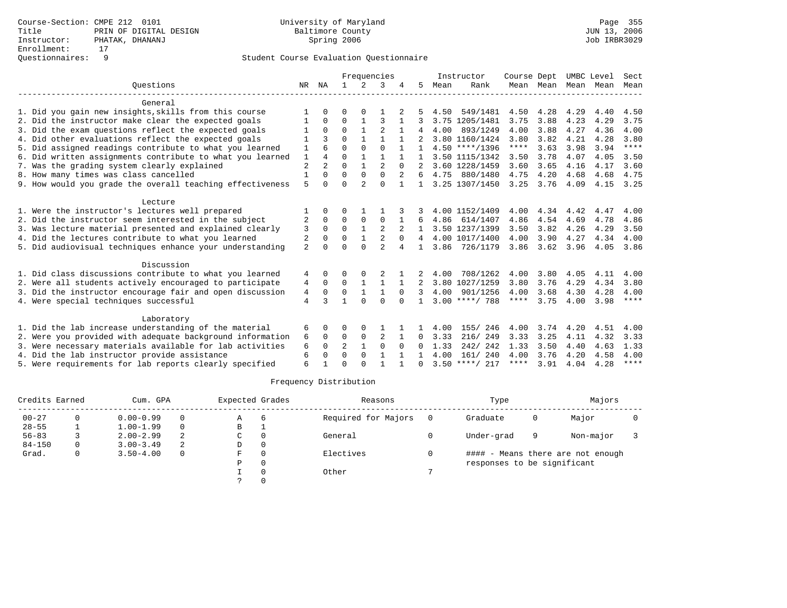|                                                           |                |                |                |               | Frequencies    |                |              |      | Instructor       | Course Dept |           | UMBC Level |      | Sect        |
|-----------------------------------------------------------|----------------|----------------|----------------|---------------|----------------|----------------|--------------|------|------------------|-------------|-----------|------------|------|-------------|
| Ouestions                                                 | NR             | ΝA             | $\mathbf{1}$   | $\mathcal{L}$ | 3              |                | 5.           | Mean | Rank             |             | Mean Mean | Mean       | Mean | Mean        |
| General                                                   |                |                |                |               |                |                |              |      |                  |             |           |            |      |             |
| 1. Did you gain new insights, skills from this course     |                | 0              | 0              | O             |                |                |              | 4.50 | 549/1481         | 4.50        | 4.28      | 4.29       | 4.40 | 4.50        |
| 2. Did the instructor make clear the expected goals       |                | $\Omega$       | $\Omega$       | 1             | ζ              |                |              |      | 3.75 1205/1481   | 3.75        | 3.88      | 4.23       | 4.29 | 3.75        |
| 3. Did the exam questions reflect the expected goals      |                | $\Omega$       | $\Omega$       |               |                |                |              | 4.00 | 893/1249         | 4.00        | 3.88      | 4.27       | 4.36 | 4.00        |
| 4. Did other evaluations reflect the expected goals       |                |                | $\Omega$       | $\mathbf{1}$  | 1              |                |              |      | 3.80 1160/1424   | 3.80        | 3.82      | 4.21       | 4.28 | 3.80        |
| 5. Did assigned readings contribute to what you learned   | 1              |                | $\Omega$       | $\Omega$      | $\Omega$       |                |              |      | $4.50$ ****/1396 | ****        | 3.63      | 3.98       | 3.94 | $***$ * * * |
| 6. Did written assignments contribute to what you learned | $\mathbf{1}$   | 4              | $\Omega$       | $\mathbf{1}$  | $\mathbf{1}$   |                |              |      | 3.50 1115/1342   | 3.50        | 3.78      | 4.07       | 4.05 | 3.50        |
| 7. Was the grading system clearly explained               | $\overline{c}$ | $\overline{a}$ | $\Omega$       |               | $\mathfrak{D}$ | $\Omega$       |              |      | 3.60 1228/1459   | 3.60        | 3.65      | 4.16       | 4.17 | 3.60        |
| 8. How many times was class cancelled                     | $\mathbf{1}$   | $\Omega$       | $\Omega$       | $\Omega$      | $\Omega$       | $\overline{a}$ | 6            |      | 4.75 880/1480    | 4.75        | 4.20      | 4.68       | 4.68 | 4.75        |
| 9. How would you grade the overall teaching effectiveness | 5              | 0              | $\Omega$       | 2             | $\Omega$       |                |              |      | 3.25 1307/1450   | 3.25        | 3.76      | 4.09       | 4.15 | 3.25        |
| Lecture                                                   |                |                |                |               |                |                |              |      |                  |             |           |            |      |             |
| 1. Were the instructor's lectures well prepared           |                |                | O              |               |                |                |              |      | 4.00 1152/1409   | 4.00        | 4.34      | 4.42       | 4.47 | 4.00        |
| 2. Did the instructor seem interested in the subject      | 2              | $\Omega$       | $\Omega$       | $\Omega$      | $\Omega$       |                |              | 4.86 | 614/1407         | 4.86        | 4.54      | 4.69       | 4.78 | 4.86        |
| 3. Was lecture material presented and explained clearly   | 3              | $\Omega$       | $\Omega$       | $\mathbf{1}$  | $\overline{2}$ |                |              |      | 3.50 1237/1399   | 3.50        | 3.82      | 4.26       | 4.29 | 3.50        |
| 4. Did the lectures contribute to what you learned        | 2              | $\Omega$       | $\Omega$       |               | $\overline{2}$ | $\Omega$       | 4            |      | 4.00 1017/1400   | 4.00        | 3.90      | 4.27       | 4.34 | 4.00        |
| 5. Did audiovisual techniques enhance your understanding  | $\overline{a}$ | U              | $\Omega$       | $\Omega$      | $\overline{2}$ | 4              |              | 3.86 | 726/1179         | 3.86        | 3.62      | 3.96       | 4.05 | 3.86        |
| Discussion                                                |                |                |                |               |                |                |              |      |                  |             |           |            |      |             |
| 1. Did class discussions contribute to what you learned   | 4              | 0              | 0              |               |                |                |              | 4.00 | 708/1262         | 4.00        | 3.80      | 4.05       | 4.11 | 4.00        |
| 2. Were all students actively encouraged to participate   | 4              | 0              | 0              |               | 1              |                | 2            |      | 3.80 1027/1259   | 3.80        | 3.76      | 4.29       | 4.34 | 3.80        |
| 3. Did the instructor encourage fair and open discussion  | 4              | $\Omega$       | $\Omega$       | $\mathbf{1}$  | 1              | $\Omega$       | ζ            | 4.00 | 901/1256         | 4.00        | 3.68      | 4.30       | 4.28 | 4.00        |
| 4. Were special techniques successful                     | $\overline{4}$ | ζ              | 1              | $\Omega$      | $\Omega$       | $\cap$         | $\mathbf{1}$ |      | $3.00$ ****/ 788 | ****        | 3.75      | 4.00       | 3.98 | $***$ * * * |
| Laboratory                                                |                |                |                |               |                |                |              |      |                  |             |           |            |      |             |
| 1. Did the lab increase understanding of the material     | 6              | 0              | 0              | O             |                |                |              | 4.00 | 155/ 246         | 4.00        | 3.74      | 4.20       | 4.51 | 4.00        |
| 2. Were you provided with adequate background information | 6              | $\Omega$       | 0              | 0             | $\overline{2}$ |                | 0            | 3.33 | 216/249          | 3.33        | 3.25      | 4.11       | 4.32 | 3.33        |
| 3. Were necessary materials available for lab activities  | 6              | $\Omega$       | $\overline{a}$ | $\mathbf{1}$  | $\Omega$       | $\Omega$       | 0            | 1.33 | 242/242          | 1.33        | 3.50      | 4.40       | 4.63 | 1.33        |
| 4. Did the lab instructor provide assistance              | 6              | 0              | $\Omega$       | $\Omega$      |                |                |              | 4.00 | 161/ 240         | 4.00        | 3.76      | 4.20       | 4.58 | 4.00        |
| 5. Were requirements for lab reports clearly specified    | 6              |                | $\cap$         | ∩             |                |                | <sup>n</sup> |      | $3.50$ ****/ 217 | ****        | 3.91      | 4.04       | 4.28 | $***$ * * * |

| Credits Earned |   | Cum. GPA      |          | Expected Grades |          | Reasons             |     | Type                        |   | Majors                            |  |
|----------------|---|---------------|----------|-----------------|----------|---------------------|-----|-----------------------------|---|-----------------------------------|--|
| $00 - 27$      | 0 | $0.00 - 0.99$ | $\Omega$ | Α               | 6        | Required for Majors | - 0 | Graduate                    | 0 | Major                             |  |
| $28 - 55$      |   | $1.00 - 1.99$ | $\Omega$ | B               |          |                     |     |                             |   |                                   |  |
| $56 - 83$      |   | $2.00 - 2.99$ | 2        | C               | $\Omega$ | General             |     | Under-grad                  | 9 | Non-major                         |  |
| $84 - 150$     | 0 | $3.00 - 3.49$ | 2        | D               | $\Omega$ |                     |     |                             |   |                                   |  |
| Grad.          | 0 | $3.50 - 4.00$ | $\Omega$ | F.              | $\Omega$ | Electives           |     |                             |   | #### - Means there are not enough |  |
|                |   |               |          | P               | $\Omega$ |                     |     | responses to be significant |   |                                   |  |
|                |   |               |          |                 |          | Other               |     |                             |   |                                   |  |
|                |   |               |          |                 |          |                     |     |                             |   |                                   |  |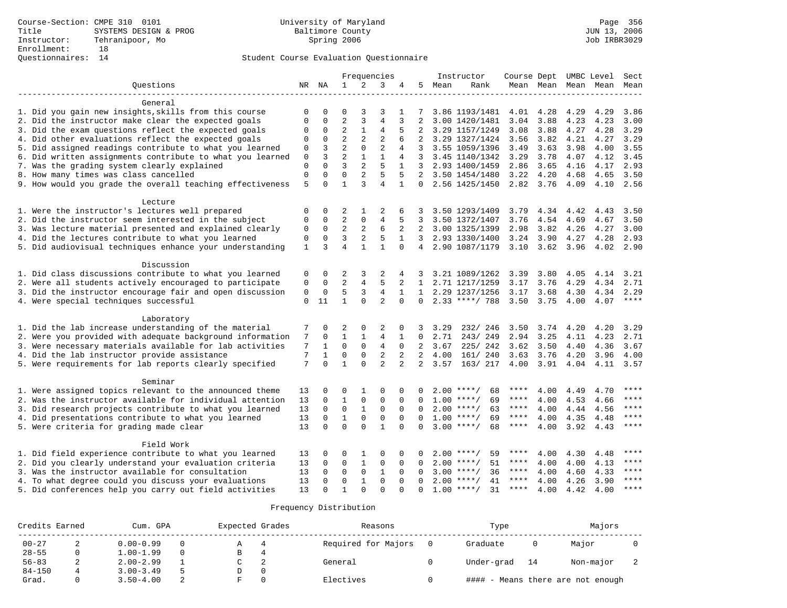|                                                                                                              |              |             |                |                | Frequencies    |                |                |      | Instructor         | Course Dept UMBC Level |                     |      |      | Sect    |
|--------------------------------------------------------------------------------------------------------------|--------------|-------------|----------------|----------------|----------------|----------------|----------------|------|--------------------|------------------------|---------------------|------|------|---------|
| Ouestions                                                                                                    |              | NR NA       | $\mathbf{1}$   | 2              | 3              | 4              | 5              | Mean | Rank               |                        | Mean Mean Mean Mean |      |      | Mean    |
|                                                                                                              |              |             |                |                |                |                |                |      |                    |                        |                     |      |      |         |
| General                                                                                                      | 0            | 0           | 0              | 3              |                |                |                |      | 3.86 1193/1481     | 4.01                   | 4.28                | 4.29 | 4.29 | 3.86    |
| 1. Did you gain new insights, skills from this course<br>2. Did the instructor make clear the expected goals | $\mathbf 0$  | 0           | 2              | 3              | 3<br>4         | 3              | 2              |      | 3.00 1420/1481     | 3.04                   | 3.88                | 4.23 | 4.23 | 3.00    |
| 3. Did the exam questions reflect the expected goals                                                         | $\mathbf 0$  | $\mathbf 0$ | 2              | $\mathbf{1}$   | 4              | 5              | 2              |      | 3.29 1157/1249     | 3.08                   | 3.88                | 4.27 | 4.28 | 3.29    |
| 4. Did other evaluations reflect the expected goals                                                          | $\mathbf 0$  | $\Omega$    | $\overline{a}$ | $\overline{2}$ | $\overline{2}$ | 6              |                |      | 3.29 1327/1424     | 3.56                   | 3.82                | 4.21 | 4.27 | 3.29    |
| 5. Did assigned readings contribute to what you learned                                                      | $\mathbf 0$  | 3           | $\overline{2}$ | $\mathbf 0$    | $\overline{2}$ | 4              | 3              |      | 3.55 1059/1396     | 3.49                   | 3.63                | 3.98 | 4.00 | 3.55    |
| 6. Did written assignments contribute to what you learned                                                    | 0            | 3           | $\overline{a}$ | $\mathbf{1}$   | 1              | 4              | 3              |      | 3.45 1140/1342     | 3.29                   | 3.78                | 4.07 | 4.12 | 3.45    |
| 7. Was the grading system clearly explained                                                                  | $\mathbf{0}$ | $\Omega$    | 3              | $\overline{2}$ | 5              | $\mathbf{1}$   | 3              |      | 2.93 1400/1459     | 2.86                   | 3.65                | 4.16 | 4.17 | 2.93    |
| 8. How many times was class cancelled                                                                        | $\mathbf{0}$ | $\Omega$    | $\Omega$       | 2              | 5              | 5              | 2              |      | 3.50 1454/1480     | 3.22                   | 4.20                | 4.68 | 4.65 | 3.50    |
| 9. How would you grade the overall teaching effectiveness                                                    | 5            | 0           | $\mathbf{1}$   | 3              | $\overline{4}$ | $\mathbf{1}$   | $\Omega$       |      | 2.56 1425/1450     | 2.82                   | 3.76                | 4.09 | 4.10 | 2.56    |
|                                                                                                              |              |             |                |                |                |                |                |      |                    |                        |                     |      |      |         |
| Lecture                                                                                                      |              |             |                |                |                |                |                |      |                    |                        |                     |      |      |         |
| 1. Were the instructor's lectures well prepared                                                              | 0            | 0           | 2              | 1              | 2              | 6              | 3              |      | 3.50 1293/1409     | 3.79                   | 4.34                | 4.42 | 4.43 | 3.50    |
| 2. Did the instructor seem interested in the subject                                                         | $\mathbf 0$  | $\mathbf 0$ | $\overline{2}$ | 0              | 4              | 5              | 3              |      | 3.50 1372/1407     | 3.76                   | 4.54                | 4.69 | 4.67 | 3.50    |
| 3. Was lecture material presented and explained clearly                                                      | $\mathbf{0}$ | $\Omega$    | $\overline{2}$ | $\overline{2}$ | 6              | 2              | 2              |      | 3.00 1325/1399     | 2.98                   | 3.82                | 4.26 | 4.27 | 3.00    |
| 4. Did the lectures contribute to what you learned                                                           | $\mathbf{0}$ | $\Omega$    | 3              | $\overline{2}$ | 5              | $\mathbf{1}$   | $\overline{3}$ |      | 2.93 1330/1400     | 3.24                   | 3.90                | 4.27 | 4.28 | 2.93    |
| 5. Did audiovisual techniques enhance your understanding                                                     | 1            | 3           | $\overline{4}$ | $\mathbf{1}$   | $\mathbf{1}$   | $\Omega$       |                |      | 4 2.90 1087/1179   | 3.10                   | 3.62                | 3.96 | 4.02 | 2.90    |
| Discussion                                                                                                   |              |             |                |                |                |                |                |      |                    |                        |                     |      |      |         |
| 1. Did class discussions contribute to what you learned                                                      | 0            | 0           | 2              | 3              | 2              | 4              | 3.             |      | 3.21 1089/1262     | 3.39                   | 3.80                | 4.05 | 4.14 | 3.21    |
| 2. Were all students actively encouraged to participate                                                      | $\mathbf{0}$ | $\mathbf 0$ | $\overline{a}$ | $\overline{4}$ | 5              | 2              | $\mathbf{1}$   |      | 2.71 1217/1259     | 3.17                   | 3.76                | 4.29 | 4.34 | 2.71    |
| 3. Did the instructor encourage fair and open discussion                                                     | $\mathsf 0$  | $\Omega$    | 5              | 3              | $\overline{4}$ | $\mathbf{1}$   |                |      | 1 2.29 1237/1256   | 3.17                   | 3.68                | 4.30 | 4.34 | 2.29    |
| 4. Were special techniques successful                                                                        | $\Omega$     | 11          | $\mathbf{1}$   | $\Omega$       | $\overline{a}$ | $\Omega$       | $\Omega$       |      | $2.33$ ****/ 788   | 3.50                   | 3.75                | 4.00 | 4.07 | ****    |
|                                                                                                              |              |             |                |                |                |                |                |      |                    |                        |                     |      |      |         |
| Laboratory                                                                                                   |              |             |                |                |                |                |                |      |                    |                        |                     |      |      |         |
| 1. Did the lab increase understanding of the material                                                        | 7            | 0           | 2              | 0              | 2              | $\Omega$       | 3              | 3.29 | 232/ 246           | 3.50                   | 3.74                | 4.20 | 4.20 | 3.29    |
| 2. Were you provided with adequate background information                                                    | 7            | $\mathbf 0$ | $\mathbf{1}$   | $\mathbf{1}$   | $\overline{4}$ | 1              | $\Omega$       | 2.71 | 243/249            | 2.94                   | 3.25                | 4.11 | 4.23 | 2.71    |
| 3. Were necessary materials available for lab activities                                                     | 7            | 1           | $\mathbf 0$    | $\mathbf 0$    | $\overline{4}$ | $\mathbf 0$    | $\overline{a}$ | 3.67 | 225/242            | 3.62                   | 3.50                | 4.40 | 4.36 | 3.67    |
| 4. Did the lab instructor provide assistance                                                                 | 7            | 1           | $\mathbf 0$    | $\mathbf{0}$   | 2              | $\overline{2}$ | 2              | 4.00 | 161/ 240           | 3.63                   | 3.76                | 4.20 | 3.96 | 4.00    |
| 5. Were requirements for lab reports clearly specified                                                       | 7            | $\Omega$    | $\mathbf{1}$   | $\Omega$       | $\overline{2}$ | $\overline{2}$ | $\overline{a}$ | 3.57 | 163/ 217           | 4.00                   | 3.91                | 4.04 | 4.11 | 3.57    |
| Seminar                                                                                                      |              |             |                |                |                |                |                |      |                    |                        |                     |      |      |         |
| 1. Were assigned topics relevant to the announced theme                                                      | 13           | O           | $\Omega$       | $\mathbf{1}$   | $\Omega$       | $\Omega$       |                |      | $2.00$ ****/<br>68 | ****                   | 4.00                | 4.49 | 4.70 | $***$   |
| 2. Was the instructor available for individual attention                                                     | 13           | $\mathbf 0$ | $\mathbf{1}$   | 0              | $\mathbf 0$    | 0              |                |      | $1.00$ ****/<br>69 | ****                   | 4.00                | 4.53 | 4.66 | ****    |
| 3. Did research projects contribute to what you learned                                                      | 13           | $\mathbf 0$ | $\mathbf 0$    | $\mathbf{1}$   | $\mathbf 0$    | $\mathbf 0$    | $\Omega$       |      | $2.00$ ****/<br>63 | $***$ * *              | 4.00                | 4.44 | 4.56 | ****    |
| 4. Did presentations contribute to what you learned                                                          | 13           | $\Omega$    | $\mathbf{1}$   | $\mathbf 0$    | $\mathbf 0$    | $\Omega$       | $\Omega$       |      | $1.00$ ****/<br>69 | $***$ * *              | 4.00                | 4.35 | 4.48 | $***$   |
|                                                                                                              | 13           | $\Omega$    | $\Omega$       | $\Omega$       | $\mathbf{1}$   | $\Omega$       | $\Omega$       |      | $3.00$ ****/<br>68 | $***$ * * *            |                     |      |      | ****    |
| 5. Were criteria for grading made clear                                                                      |              |             |                |                |                |                |                |      |                    |                        | 4.00                | 3.92 | 4.43 |         |
| Field Work                                                                                                   |              |             |                |                |                |                |                |      |                    |                        |                     |      |      |         |
| 1. Did field experience contribute to what you learned                                                       | 13           | 0           | 0              | 1              | 0              | 0              |                |      | $2.00$ ****/<br>59 | ****                   | 4.00                | 4.30 | 4.48 |         |
| 2. Did you clearly understand your evaluation criteria                                                       | 13           | $\mathbf 0$ | 0              | 1              | 0              | 0              | $\Omega$       | 2.00 | 51<br>$***/$       | ****                   | 4.00                | 4.00 | 4.13 | ****    |
| 3. Was the instructor available for consultation                                                             | 13           | $\Omega$    | $\mathbf 0$    | $\mathbf 0$    | $\mathbf{1}$   | $\Omega$       | $\Omega$       |      | 36<br>$3.00$ ****/ | $***$ * *              | 4.00                | 4.60 | 4.33 | ****    |
| 4. To what degree could you discuss your evaluations                                                         | 13           | $\Omega$    | $\Omega$       | $\mathbf 1$    | $\Omega$       | $\Omega$       | $\Omega$       |      | $2.00$ ****/<br>41 | $***$ * *              | 4.00                | 4.26 | 3.90 | ****    |
| 5. Did conferences help you carry out field activities                                                       | 13           | $\Omega$    | $\mathbf{1}$   | $\Omega$       | $\cap$         |                |                |      | 31<br>$1.00$ ****/ | $***$ * * *            | 4.00                | 4.42 | 4.00 | $***$ * |

| Credits Earned | Cum. GPA      |                | Expected Grades |             | Reasons             | Type       |    | Majors                       |  |
|----------------|---------------|----------------|-----------------|-------------|---------------------|------------|----|------------------------------|--|
| $00 - 27$      | $0.00 - 0.99$ |                | A               | $4^{\circ}$ | Required for Majors | Graduate   |    | Major                        |  |
| $28 - 55$      | $1.00 - 1.99$ |                | В               |             |                     |            |    |                              |  |
| $56 - 83$      | $2.00 - 2.99$ |                |                 |             | General             | Under-grad | 14 | Non-major                    |  |
| $84 - 150$     | $3.00 - 3.49$ | $\overline{a}$ |                 | $\Omega$    |                     |            |    |                              |  |
| Grad.          | $3.50 - 4.00$ |                |                 | $\Omega$    | Electives           | ####       |    | - Means there are not enough |  |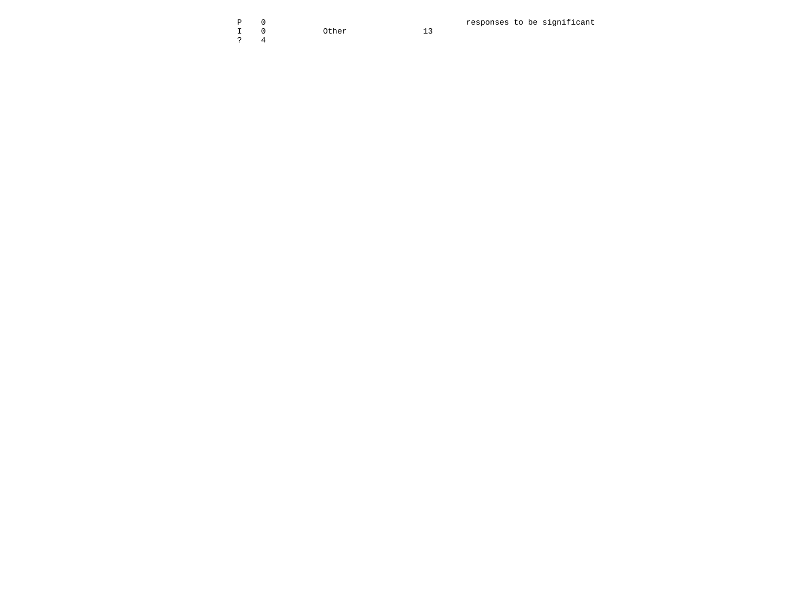I 0 Other 13 ? 4

 $13$ 

P 0 responses to be significant<br>
P 0 0 0 0 0 0 0 0 0 0 0 0 0 0 13<br>
P 13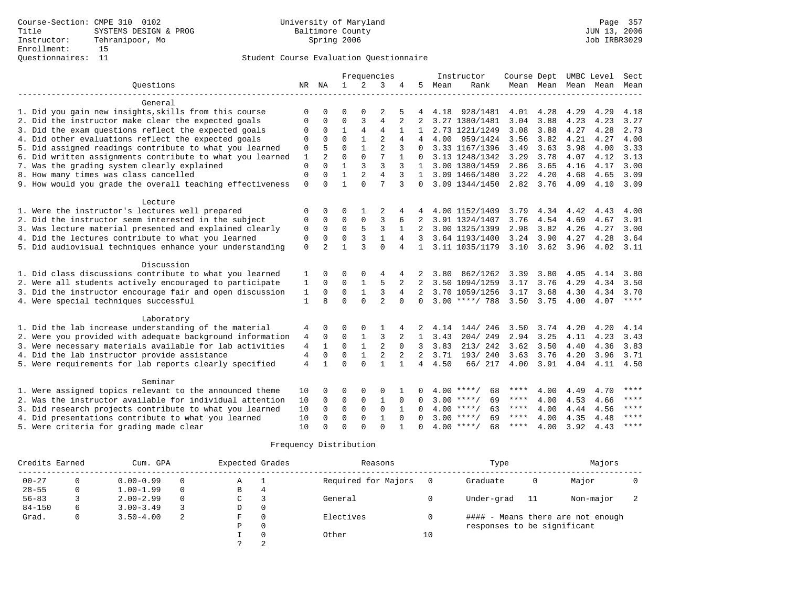|                                                           |                |                |              |                | Frequencies    |                |                |      | Instructor         | Course Dept UMBC Level |                |             |                          | Sect      |
|-----------------------------------------------------------|----------------|----------------|--------------|----------------|----------------|----------------|----------------|------|--------------------|------------------------|----------------|-------------|--------------------------|-----------|
| Ouestions                                                 |                | NR NA          | $\mathbf{1}$ | 2              | 3              | 4              | 5              | Mean | Rank               |                        |                |             | Mean Mean Mean Mean Mean |           |
|                                                           |                |                |              |                |                |                |                |      |                    |                        |                |             |                          |           |
| General                                                   |                |                |              |                |                |                |                |      |                    |                        |                |             |                          |           |
| 1. Did you gain new insights, skills from this course     | $\Omega$       |                | ∩            |                |                |                |                |      | 4.18 928/1481      | 4.01                   | 4.28           | 4.29        | 4.29                     | 4.18      |
| 2. Did the instructor make clear the expected goals       | $\Omega$       | 0              | $\mathbf 0$  | 3              | $\overline{4}$ | 2              | 2              |      | 3.27 1380/1481     | 3.04                   | 3.88           | 4.23        | 4.23                     | 3.27      |
| 3. Did the exam questions reflect the expected goals      | 0              | $\mathbf 0$    | $\mathbf{1}$ | $\overline{4}$ | $\overline{4}$ |                |                |      | 2.73 1221/1249     | 3.08                   | 3.88           | 4.27        | 4.28                     | 2.73      |
| 4. Did other evaluations reflect the expected goals       | $\Omega$       | $\Omega$       | $\Omega$     |                | $\overline{2}$ | 4              |                |      | 4.00 959/1424      | 3.56                   | 3.82           | 4.21        | 4.27                     | 4.00      |
| 5. Did assigned readings contribute to what you learned   | 0              | 5              | $\Omega$     | $\mathbf{1}$   | $\overline{2}$ | 3              | $\Omega$       |      | 3.33 1167/1396     | 3.49                   | 3.63           | 3.98        | 4.00                     | 3.33      |
| 6. Did written assignments contribute to what you learned | $\mathbf{1}$   | 2              | $\Omega$     | $\Omega$       | 7              |                | $\Omega$       |      | 3.13 1248/1342     | 3.29                   | 3.78           | 4.07        | 4.12                     | 3.13      |
| 7. Was the grading system clearly explained               | $\mathsf 0$    | $\Omega$       |              | 3              | 3              |                | $\mathbf{1}$   |      | 3.00 1380/1459     | 2.86                   | 3.65           | 4.16        | 4.17                     | 3.00      |
| 8. How many times was class cancelled                     | $\Omega$       | $\Omega$       | $\mathbf{1}$ | 2              | $\overline{4}$ | 3              | 1              |      | 3.09 1466/1480     | 3.22                   | 4.20           | 4.68        | 4.65                     | 3.09      |
| 9. How would you grade the overall teaching effectiveness | $\Omega$       | $\cap$         | $\mathbf{1}$ | $\cap$         | 7              | 3              | $\Omega$       |      | 3.09 1344/1450     |                        | 2.82 3.76      | 4.09        | 4.10                     | 3.09      |
| Lecture                                                   |                |                |              |                |                |                |                |      |                    |                        |                |             |                          |           |
| 1. Were the instructor's lectures well prepared           | 0              | 0              | 0            |                | 2              |                |                |      | 4.00 1152/1409     | 3.79                   | 4.34           | 4.42        | 4.43                     | 4.00      |
| 2. Did the instructor seem interested in the subject      | 0              | $\mathbf 0$    | $\Omega$     | $\mathbf 0$    | 3              | 6              | 2              |      | 3.91 1324/1407     | 3.76                   | 4.54           | 4.69        | 4.67                     | 3.91      |
| 3. Was lecture material presented and explained clearly   | $\mathbf 0$    | $\Omega$       | $\Omega$     | 5              | 3              | $\mathbf{1}$   | 2              |      | 3.00 1325/1399     | 2.98                   | 3.82           | 4.26        | 4.27                     | 3.00      |
| 4. Did the lectures contribute to what you learned        | $\mathbf 0$    | $\Omega$       | $\Omega$     | 3              | $\mathbf{1}$   | $\overline{4}$ | $\mathbf{3}$   |      | 3.64 1193/1400     | 3.24                   | 3.90           | 4.27        | 4.28                     | 3.64      |
| 5. Did audiovisual techniques enhance your understanding  | $\mathbf 0$    | $\overline{a}$ |              | $\mathbf{3}$   | $\Omega$       | 4              | $\mathbf{1}$   |      | 3.11 1035/1179     |                        | 3.10 3.62 3.96 |             | 4.02                     | 3.11      |
|                                                           |                |                |              |                |                |                |                |      |                    |                        |                |             |                          |           |
| Discussion                                                |                |                |              |                |                |                |                |      |                    |                        |                |             |                          |           |
| 1. Did class discussions contribute to what you learned   |                | $\Omega$       | $\Omega$     | $\Omega$       | 4              | 4              | 2              | 3.80 | 862/1262           | 3.39                   | 3.80           | 4.05        | 4.14                     | 3.80      |
| 2. Were all students actively encouraged to participate   | 1              | $\Omega$       | $\Omega$     |                | 5              |                |                |      | 3.50 1094/1259     | 3.17                   | 3.76           | 4.29        | 4.34                     | 3.50      |
| 3. Did the instructor encourage fair and open discussion  | 1              | $\Omega$       | $\mathbf 0$  | $\mathbf{1}$   | 3              | 4              | $2^{\circ}$    |      | 3.70 1059/1256     | 3.17                   | 3.68           | 4.30        | 4.34                     | 3.70      |
| 4. Were special techniques successful                     | $\mathbf{1}$   | 8              | $\Omega$     | $\Omega$       | $\overline{a}$ | $\Omega$       | $\Omega$       |      | $3.00$ ****/ 788   | 3.50                   | 3.75           | 4.00        | 4.07                     | $***$     |
| Laboratory                                                |                |                |              |                |                |                |                |      |                    |                        |                |             |                          |           |
| 1. Did the lab increase understanding of the material     | 4              | 0              | $\Omega$     |                |                |                |                | 4.14 | 144/246            | 3.50                   |                | $3.74$ 4.20 | 4.20                     | 4.14      |
| 2. Were you provided with adequate background information | 4              | $\Omega$       | $\mathbf 0$  |                | 3              |                | $\mathbf{1}$   | 3.43 | 204/249            | 2.94                   | 3.25           | 4.11        | 4.23                     | 3.43      |
| 3. Were necessary materials available for lab activities  | $\overline{4}$ | 1              | $\Omega$     | $\mathbf{1}$   | $\overline{2}$ | $\Omega$       | 3              | 3.83 | 213/242            | 3.62                   | 3.50           | 4.40        | 4.36                     | 3.83      |
| 4. Did the lab instructor provide assistance              | 4              | $\Omega$       | $\mathbf 0$  | $\mathbf{1}$   | $\overline{2}$ | 2              | 2              | 3.71 | 193/240            | 3.63                   | 3.76           | 4.20        | 3.96                     | 3.71      |
| 5. Were requirements for lab reports clearly specified    | $\overline{4}$ |                | $\Omega$     | $\Omega$       | $\mathbf{1}$   |                | $\overline{4}$ | 4.50 | 66/ 217            | 4.00                   | 3.91           | 4.04        | 4.11 4.50                |           |
|                                                           |                |                |              |                |                |                |                |      |                    |                        |                |             |                          |           |
| Seminar                                                   |                |                |              |                |                |                |                |      |                    |                        |                |             |                          |           |
| 1. Were assigned topics relevant to the announced theme   | 10             | $\Omega$       | 0            | 0              | 0              |                |                |      | $4.00$ ****/<br>68 | ****                   | 4.00           | 4.49        | 4.70                     | ****      |
| 2. Was the instructor available for individual attention  | 10             | $\Omega$       | $\mathbf 0$  | $\mathbf 0$    | $\mathbf{1}$   | $\Omega$       | $\Omega$       |      | $3.00$ ****/<br>69 | ****                   | 4.00           | 4.53        | 4.66                     | ****      |
| 3. Did research projects contribute to what you learned   | 10             | $\Omega$       | $\Omega$     | $\Omega$       | $\Omega$       |                | $\Omega$       |      | $4.00$ ****/<br>63 | ****                   | 4.00           | 4.44        | 4.56                     | ****      |
| 4. Did presentations contribute to what you learned       | 10             | $\Omega$       | $\Omega$     | $\Omega$       | $\mathbf{1}$   | $\Omega$       | $\Omega$       |      | $3.00$ ****/<br>69 | ****                   | 4.00           | 4.35        | 4.48                     | $* * * *$ |
| 5. Were criteria for grading made clear                   | 10             | $\cap$         | $\Omega$     | $\Omega$       | $\Omega$       |                | $\Omega$       |      | $4.00$ ****/<br>68 | ****                   | 4.00           | 3.92        | 4.43                     | $***$ *   |

| Credits Earned |   | Cum. GPA      |          | Expected Grades |   | Reasons             |    | Type                        |    | Majors                            |  |
|----------------|---|---------------|----------|-----------------|---|---------------------|----|-----------------------------|----|-----------------------------------|--|
| $00 - 27$      |   | $0.00 - 0.99$ |          | Α               |   | Required for Majors |    | Graduate                    | 0  | Major                             |  |
| $28 - 55$      |   | $1.00 - 1.99$ | $\Omega$ | B               | 4 |                     |    |                             |    |                                   |  |
| $56 - 83$      |   | $2.00 - 2.99$ | $\Omega$ | C               |   | General             |    | Under-grad                  | 11 | Non-major                         |  |
| $84 - 150$     | 6 | $3.00 - 3.49$ |          | D               | 0 |                     |    |                             |    |                                   |  |
| Grad.          |   | $3.50 - 4.00$ | 2        | F               | 0 | Electives           |    |                             |    | #### - Means there are not enough |  |
|                |   |               |          | Р               | 0 |                     |    | responses to be significant |    |                                   |  |
|                |   |               |          |                 | 0 | Other               | 10 |                             |    |                                   |  |
|                |   |               |          |                 | 2 |                     |    |                             |    |                                   |  |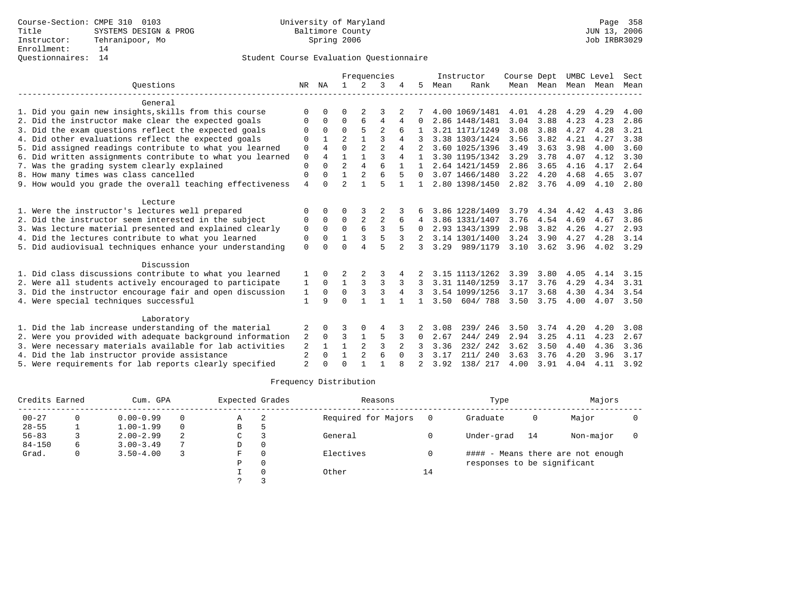|                                                           |                |              |                |                | Frequencies    |                |          |      | Instructor     | Course Dept |      | UMBC Level          |      | Sect |
|-----------------------------------------------------------|----------------|--------------|----------------|----------------|----------------|----------------|----------|------|----------------|-------------|------|---------------------|------|------|
| Ouestions                                                 | NR             | NA           | 1.             | 2              | 3              |                | 5        | Mean | Rank           |             |      | Mean Mean Mean Mean |      | Mean |
| General                                                   |                |              |                |                |                |                |          |      |                |             |      |                     |      |      |
| 1. Did you gain new insights, skills from this course     | $\Omega$       |              | O              | 2              | 3              |                |          |      | 4.00 1069/1481 | 4.01        | 4.28 | 4.29                | 4.29 | 4.00 |
| 2. Did the instructor make clear the expected goals       | $\Omega$       | 0            | $\Omega$       | 6              | $\overline{4}$ | 4              | 0        |      | 2.86 1448/1481 | 3.04        | 3.88 | 4.23                | 4.23 | 2.86 |
| 3. Did the exam questions reflect the expected goals      | $\Omega$       | $\Omega$     | $\Omega$       | 5              | $\overline{a}$ | 6              |          |      | 3.21 1171/1249 | 3.08        | 3.88 | 4.27                | 4.28 | 3.21 |
| 4. Did other evaluations reflect the expected goals       | $\Omega$       |              | $\overline{a}$ |                | ζ              | 4              |          |      | 3.38 1303/1424 | 3.56        | 3.82 | 4.21                | 4.27 | 3.38 |
| 5. Did assigned readings contribute to what you learned   | 0              | 4            | $\Omega$       | 2              | $\overline{2}$ |                |          |      | 3.60 1025/1396 | 3.49        | 3.63 | 3.98                | 4.00 | 3.60 |
| 6. Did written assignments contribute to what you learned | $\mathbf 0$    | 4            | 1              | 1              | 3              | 4              |          |      | 3.30 1195/1342 | 3.29        | 3.78 | 4.07                | 4.12 | 3.30 |
| 7. Was the grading system clearly explained               | $\Omega$       | $\Omega$     | $\overline{2}$ | 4              |                |                |          |      | 2.64 1421/1459 | 2.86        | 3.65 | 4.16                | 4.17 | 2.64 |
| 8. How many times was class cancelled                     | $\Omega$       | 0            | 1              | $\overline{a}$ | 6              | 5              | $\Omega$ |      | 3.07 1466/1480 | 3.22        | 4.20 | 4.68                | 4.65 | 3.07 |
| 9. How would you grade the overall teaching effectiveness | $\overline{4}$ | U            | $\overline{a}$ |                | 5              |                |          |      | 2.80 1398/1450 | 2.82        | 3.76 | 4.09                | 4.10 | 2.80 |
| Lecture                                                   |                |              |                |                |                |                |          |      |                |             |      |                     |      |      |
| 1. Were the instructor's lectures well prepared           | $\Omega$       |              | 0              |                |                |                |          |      | 3.86 1228/1409 | 3.79        | 4.34 | 4.42                | 4.43 | 3.86 |
| 2. Did the instructor seem interested in the subject      | 0              | $\Omega$     | 0              | 2              | $\overline{2}$ | 6              | 4        |      | 3.86 1331/1407 | 3.76        | 4.54 | 4.69                | 4.67 | 3.86 |
| 3. Was lecture material presented and explained clearly   | 0              | $\Omega$     | $\Omega$       |                | 3              |                | 0        |      | 2.93 1343/1399 | 2.98        | 3.82 | 4.26                | 4.27 | 2.93 |
| 4. Did the lectures contribute to what you learned        | $\Omega$       | $\Omega$     |                | 3              | 5              | 3              |          |      | 3.14 1301/1400 | 3.24        | 3.90 | 4.27                | 4.28 | 3.14 |
| 5. Did audiovisual techniques enhance your understanding  | $\Omega$       |              | $\cap$         |                | 5              | $\mathfrak{D}$ | 3        | 3.29 | 989/1179       | 3.10        | 3.62 | 3.96                | 4.02 | 3.29 |
| Discussion                                                |                |              |                |                |                |                |          |      |                |             |      |                     |      |      |
| 1. Did class discussions contribute to what you learned   |                | <sup>0</sup> | 2              |                |                |                |          |      | 3.15 1113/1262 | 3.39        | 3.80 | 4.05                | 4.14 | 3.15 |
| 2. Were all students actively encouraged to participate   | 1              | $\Omega$     | $\mathbf{1}$   | 3              | 3              | 3              |          |      | 3.31 1140/1259 | 3.17        | 3.76 | 4.29                | 4.34 | 3.31 |
| 3. Did the instructor encourage fair and open discussion  | 1              | $\Omega$     | $\Omega$       | 3              | 3              | 4              |          |      | 3.54 1099/1256 | 3.17        | 3.68 | 4.30                | 4.34 | 3.54 |
| 4. Were special techniques successful                     | 1              | 9            | $\Omega$       |                |                |                | 1        | 3.50 | 604/788        | 3.50        | 3.75 | 4.00                | 4.07 | 3.50 |
| Laboratory                                                |                |              |                |                |                |                |          |      |                |             |      |                     |      |      |
| 1. Did the lab increase understanding of the material     | 2              | 0            | 3              | 0              | 4              |                |          | 3.08 | 239/246        | 3.50        | 3.74 | 4.20                | 4.20 | 3.08 |
| 2. Were you provided with adequate background information | 2              | $\Omega$     | 3              | 1              | 5              |                | 0        | 2.67 | 244/249        | 2.94        | 3.25 | 4.11                | 4.23 | 2.67 |
| 3. Were necessary materials available for lab activities  | 2              |              | $\mathbf{1}$   | $\overline{a}$ | 3              |                |          | 3.36 | 232/ 242       | 3.62        | 3.50 | 4.40                | 4.36 | 3.36 |
| 4. Did the lab instructor provide assistance              | 2              | 0            | $\mathbf{1}$   | 2              | 6              | $\Omega$       | 3        | 3.17 | 211/ 240       | 3.63        | 3.76 | 4.20                | 3.96 | 3.17 |
| 5. Were requirements for lab reports clearly specified    | $\overline{a}$ |              | $\Omega$       |                |                |                |          | 3.92 | 138/ 217       | 4.00        | 3.91 | 4.04                | 4.11 | 3.92 |

| Credits Earned |   | Cum. GPA      |          | Expected Grades |   | Reasons             |    | Type                        |    | Majors                            |  |
|----------------|---|---------------|----------|-----------------|---|---------------------|----|-----------------------------|----|-----------------------------------|--|
| $00 - 27$      |   | $0.00 - 0.99$ | $\Omega$ | Α               | 2 | Required for Majors |    | Graduate                    | 0  | Major                             |  |
| $28 - 55$      |   | $1.00 - 1.99$ | $\Omega$ | В               |   |                     |    |                             |    |                                   |  |
| $56 - 83$      |   | $2.00 - 2.99$ | 2        | C               |   | General             |    | Under-grad                  | 14 | Non-major                         |  |
| $84 - 150$     | 6 | $3.00 - 3.49$ |          | D               |   |                     |    |                             |    |                                   |  |
| Grad.          | 0 | $3.50 - 4.00$ |          | F               |   | Electives           |    |                             |    | #### - Means there are not enough |  |
|                |   |               |          | P               |   |                     |    | responses to be significant |    |                                   |  |
|                |   |               |          |                 |   | Other               | 14 |                             |    |                                   |  |
|                |   |               |          |                 |   |                     |    |                             |    |                                   |  |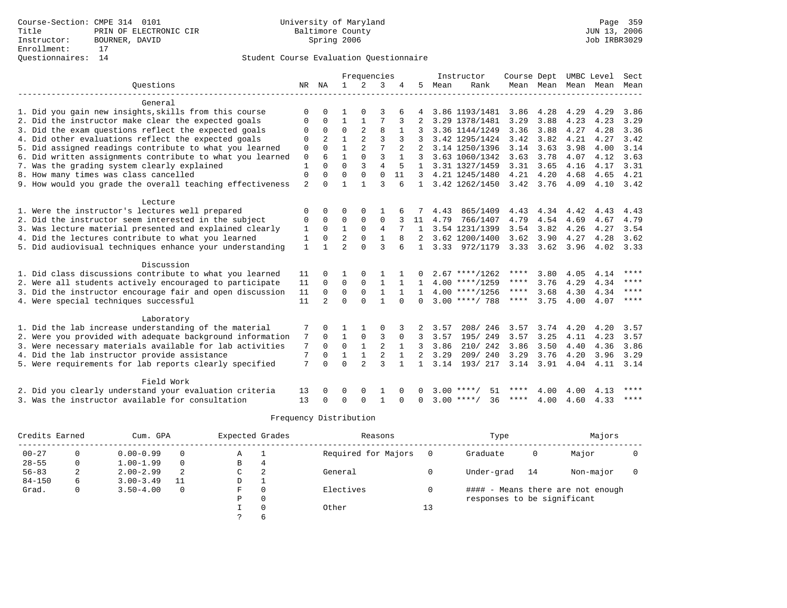|                                                           |                |                |                | Frequencies    |                |              |                |      | Instructor         | Course Dept |                   |                     | UMBC Level | Sect        |
|-----------------------------------------------------------|----------------|----------------|----------------|----------------|----------------|--------------|----------------|------|--------------------|-------------|-------------------|---------------------|------------|-------------|
| Ouestions                                                 |                | NR NA          | $\mathbf{1}$   | $\overline{2}$ | 3              | 4            | 5              | Mean | Rank               |             |                   | Mean Mean Mean Mean |            | Mean        |
| General                                                   |                |                |                |                |                |              |                |      |                    |             |                   |                     |            |             |
| 1. Did you gain new insights, skills from this course     | $\Omega$       |                |                |                |                |              |                |      | 3.86 1193/1481     | 3.86        | 4.28              | 4.29                | 4.29       | 3.86        |
| 2. Did the instructor make clear the expected goals       | 0              | 0              | $\mathbf{1}$   |                |                | 3            |                |      | 3.29 1378/1481     | 3.29        | 3.88              | 4.23                | 4.23       | 3.29        |
| 3. Did the exam questions reflect the expected goals      | 0              | $\Omega$       | $\mathbf 0$    | $\overline{2}$ | 8              |              |                |      | 3.36 1144/1249     | 3.36        | 3.88              | 4.27                | 4.28       | 3.36        |
| 4. Did other evaluations reflect the expected goals       | 0              | 2              |                |                | 3              |              |                |      | 3.42 1295/1424     | 3.42        | 3.82              | 4.21                | 4.27       | 3.42        |
| 5. Did assigned readings contribute to what you learned   | 0              | $\Omega$       | $\mathbf{1}$   | $\overline{2}$ |                | 2            |                |      | 3.14 1250/1396     | 3.14        | 3.63              | 3.98                | 4.00       | 3.14        |
| 6. Did written assignments contribute to what you learned | 0              | 6              | 1              | $\Omega$       | 3              |              |                |      | 3.63 1060/1342     | 3.63        | 3.78              | 4.07                | 4.12       | 3.63        |
| 7. Was the grading system clearly explained               | $\mathbf{1}$   | $\Omega$       | $\Omega$       | 3              | $\overline{4}$ | 5            | $\mathbf{1}$   |      | 3.31 1327/1459     | 3.31        | 3.65              | 4.16                | 4.17       | 3.31        |
| 8. How many times was class cancelled                     | $\Omega$       | $\Omega$       | $\Omega$       | $\Omega$       | $\Omega$       | 11           | ζ              |      | 4.21 1245/1480     | 4.21        | 4.20              | 4.68                | 4.65       | 4.21        |
| 9. How would you grade the overall teaching effectiveness | $\overline{2}$ | $\cap$         | 1              | 1              | $\mathbf{3}$   | $\epsilon$   | $\mathbf{1}$   |      | 3.42 1262/1450     |             | $3.42 \quad 3.76$ | 4.09                | 4.10       | 3.42        |
| Lecture                                                   |                |                |                |                |                |              |                |      |                    |             |                   |                     |            |             |
| 1. Were the instructor's lectures well prepared           | $\Omega$       | <sup>0</sup>   | O              | $\Omega$       |                |              |                | 4.43 | 865/1409           | 4.43        | 4.34              | 4.42                | 4.43       | 4.43        |
| 2. Did the instructor seem interested in the subject      | $\Omega$       | $\Omega$       | $\Omega$       | $\Omega$       | $\mathbf 0$    |              | 11             | 4.79 | 766/1407           | 4.79        | 4.54              | 4.69                | 4.67       | 4.79        |
| 3. Was lecture material presented and explained clearly   | $\mathbf{1}$   | $\Omega$       | $\mathbf{1}$   | $\Omega$       | $\overline{4}$ |              | $\mathbf{1}$   |      | 3.54 1231/1399     | 3.54        | 3.82              | 4.26                | 4.27       | 3.54        |
| 4. Did the lectures contribute to what you learned        | 1              | $\Omega$       | $\overline{2}$ | $\Omega$       | $\mathbf{1}$   | 8            | 2              |      | 3.62 1200/1400     | 3.62        | 3.90              | 4.27                | 4.28       | 3.62        |
| 5. Did audiovisual techniques enhance your understanding  | $\mathbf{1}$   |                | $\overline{2}$ | $\Omega$       | ζ              |              | $\mathbf{1}$   |      | 3.33 972/1179      |             | $3.33 \quad 3.62$ | 3.96                | 4.02       | 3.33        |
| Discussion                                                |                |                |                |                |                |              |                |      |                    |             |                   |                     |            |             |
| 1. Did class discussions contribute to what you learned   | 11             | 0              |                |                |                |              |                |      | $2.67$ ****/1262   | ****        | 3.80              | 4.05                | 4.14       | ****        |
| 2. Were all students actively encouraged to participate   | 11             | 0              | $\mathbf 0$    | $\Omega$       | $\mathbf{1}$   |              | 1.             |      | $4.00$ ****/1259   | ****        | 3.76              | 4.29                | 4.34       | ****        |
| 3. Did the instructor encourage fair and open discussion  | 11             | $\mathbf 0$    | $\mathbf 0$    | $\Omega$       | $\mathbf{1}$   | $\mathbf{1}$ | $\mathbf{1}$   |      | $4.00$ ****/1256   | ****        | 3.68              | 4.30                | 4.34       | $* * * * *$ |
| 4. Were special techniques successful                     | 11             | $\overline{2}$ | $\Omega$       | $\Omega$       | $\mathbf{1}$   | $\cap$       | $\Omega$       |      | $3.00$ ****/ 788   | ****        | 3.75              | 4.00                | 4.07       | $***$ * * * |
| Laboratory                                                |                |                |                |                |                |              |                |      |                    |             |                   |                     |            |             |
| 1. Did the lab increase understanding of the material     |                | <sup>0</sup>   |                |                | $\Omega$       |              |                | 3.57 | 208/246            | 3.57        | 3.74              | 4.20                | 4.20       | 3.57        |
| 2. Were you provided with adequate background information | 7              | $\Omega$       | $\mathbf{1}$   | 0              | 3              | $\Omega$     | 3              | 3.57 | 195/249            | 3.57        | 3.25              | 4.11                | 4.23       | 3.57        |
| 3. Were necessary materials available for lab activities  | 7              | $\Omega$       | $\mathbf 0$    | $\mathbf{1}$   | $\overline{2}$ | $\mathbf{1}$ | 3              | 3.86 | 210/242            | 3.86        | 3.50              | 4.40                | 4.36       | 3.86        |
| 4. Did the lab instructor provide assistance              | 7              | 0              | $\mathbf{1}$   | $1\,$          | $\overline{2}$ |              | $\overline{2}$ | 3.29 | 209/240            | 3.29        | 3.76              | 4.20                | 3.96       | 3.29        |
| 5. Were requirements for lab reports clearly specified    | 7              | $\Omega$       | $\Omega$       | $\overline{a}$ | $\mathbf{3}$   |              |                | 3.14 | 193/ 217           | 3.14        | 3.91              | 4.04                | 4.11       | 3.14        |
| Field Work                                                |                |                |                |                |                |              |                |      |                    |             |                   |                     |            |             |
| 2. Did you clearly understand your evaluation criteria    | 13             |                | O              | $\Omega$       |                |              | <sup>0</sup>   | 3.00 | 51                 |             | 4.00              | 4.00                | 4.13       | ****        |
| 3. Was the instructor available for consultation          | 13             | <sup>0</sup>   | $\Omega$       | $\Omega$       | $\mathbf{1}$   | ∩            | $\Omega$       |      | 36<br>$3.00$ ****/ | ****        | 4.00              | 4.60                | 4.33       | $* * * * *$ |

| Credits Earned |   | Cum. GPA      |          | Expected Grades |          | Reasons             |     | Type                        |    | Majors                            |  |
|----------------|---|---------------|----------|-----------------|----------|---------------------|-----|-----------------------------|----|-----------------------------------|--|
| $00 - 27$      | 0 | $0.00 - 0.99$ | 0        | Α               |          | Required for Majors | - 0 | Graduate                    | 0  | Major                             |  |
| $28 - 55$      | 0 | $1.00 - 1.99$ | $\Omega$ | В               | 4        |                     |     |                             |    |                                   |  |
| $56 - 83$      | 2 | $2.00 - 2.99$ | 2        | C               |          | General             |     | Under-grad                  | 14 | Non-major                         |  |
| $84 - 150$     | 6 | $3.00 - 3.49$ | 11       | D               |          |                     |     |                             |    |                                   |  |
| Grad.          | 0 | $3.50 - 4.00$ | 0        | F.              | $\Omega$ | Electives           |     |                             |    | #### - Means there are not enough |  |
|                |   |               |          | Ρ               | 0        |                     |     | responses to be significant |    |                                   |  |
|                |   |               |          |                 | $\Omega$ | Other               | 13  |                             |    |                                   |  |
|                |   |               |          |                 | b        |                     |     |                             |    |                                   |  |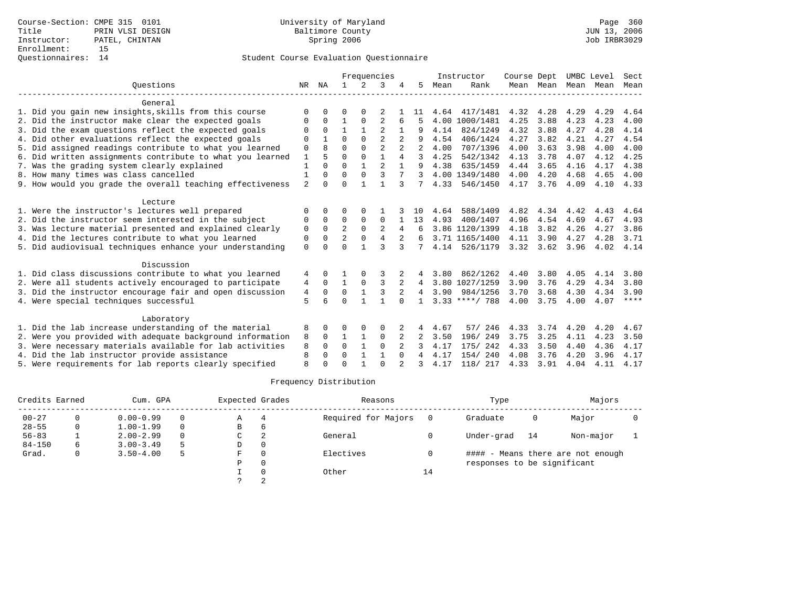|                                                           | Frequencies  |          |                |              |                |                |                |      | Instructor       | Course Dept |      |                     | UMBC Level | Sect        |
|-----------------------------------------------------------|--------------|----------|----------------|--------------|----------------|----------------|----------------|------|------------------|-------------|------|---------------------|------------|-------------|
| Ouestions                                                 | NR           | ΝA       | $\mathbf{1}$   | 2            | 3              |                | 5              | Mean | Rank             |             |      | Mean Mean Mean Mean |            | Mean        |
| General                                                   |              |          |                |              |                |                |                |      |                  |             |      |                     |            |             |
| 1. Did you gain new insights, skills from this course     | ∩            |          | ∩              | <sup>0</sup> |                |                | 11             |      | 4.64 417/1481    | 4.32        | 4.28 | 4.29                | 4.29       | 4.64        |
| 2. Did the instructor make clear the expected goals       |              | $\Omega$ |                | $\Omega$     |                | 6              |                |      | 4.00 1000/1481   | 4.25        | 3.88 | 4.23                | 4.23       | 4.00        |
| 3. Did the exam questions reflect the expected goals      |              | $\Omega$ |                |              |                |                |                | 4.14 | 824/1249         | 4.32        | 3.88 | 4.27                | 4.28       | 4.14        |
| 4. Did other evaluations reflect the expected goals       |              |          | $\Omega$       | $\Omega$     | $\overline{2}$ |                | 9              | 4.54 | 406/1424         | 4.27        | 3.82 | 4.21                | 4.27       | 4.54        |
| 5. Did assigned readings contribute to what you learned   | $\Omega$     | 8        | $\Omega$       | $\Omega$     | $\overline{2}$ |                | $\mathfrak{D}$ | 4.00 | 707/1396         | 4.00        | 3.63 | 3.98                | 4.00       | 4.00        |
| 6. Did written assignments contribute to what you learned |              |          | $\Omega$       | $\Omega$     |                |                | 3              | 4.25 | 542/1342         | 4.13        | 3.78 | 4.07                | 4.12       | 4.25        |
| 7. Was the grading system clearly explained               |              | $\Omega$ | $\Omega$       |              | $\mathfrak{D}$ |                | 9              | 4.38 | 635/1459         | 4.44        | 3.65 | 4.16                | 4.17       | 4.38        |
| 8. How many times was class cancelled                     |              | $\Omega$ | $\Omega$       | $\mathbf{0}$ | 3              |                | 3              |      | 4.00 1349/1480   | 4.00        | 4.20 | 4.68                | 4.65       | 4.00        |
| 9. How would you grade the overall teaching effectiveness | 2            | $\cap$   | $\Omega$       |              |                | 3              | 7              | 4.33 | 546/1450         | 4.17        | 3.76 | 4.09                | 4.10       | 4.33        |
| Lecture                                                   |              |          |                |              |                |                |                |      |                  |             |      |                     |            |             |
| 1. Were the instructor's lectures well prepared           |              |          |                |              |                |                | 10             | 4.64 | 588/1409         | 4.82        | 4.34 | 4.42                | 4.43       | 4.64        |
| 2. Did the instructor seem interested in the subject      | 0            | $\Omega$ | $\Omega$       | $\Omega$     | $\Omega$       |                | 13             | 4.93 | 400/1407         | 4.96        | 4.54 | 4.69                | 4.67       | 4.93        |
| 3. Was lecture material presented and explained clearly   | 0            | $\Omega$ | $\mathfrak{D}$ | $\Omega$     |                |                |                |      | 3.86 1120/1399   | 4.18        | 3.82 | 4.26                | 4.27       | 3.86        |
| 4. Did the lectures contribute to what you learned        | $\mathbf 0$  | $\Omega$ | $\overline{a}$ | $\Omega$     | 4              | 2              | 6              |      | 3.71 1165/1400   | 4.11        | 3.90 | 4.27                | 4.28       | 3.71        |
| 5. Did audiovisual techniques enhance your understanding  | $\Omega$     |          | $\Omega$       |              | ς              |                |                | 4.14 | 526/1179         | 3.32        | 3.62 | 3.96                | 4.02       | 4.14        |
| Discussion                                                |              |          |                |              |                |                |                |      |                  |             |      |                     |            |             |
| 1. Did class discussions contribute to what you learned   | 4            | $\Omega$ |                |              |                |                | 4              | 3.80 | 862/1262         | 4.40        | 3.80 | 4.05                | 4.14       | 3.80        |
| 2. Were all students actively encouraged to participate   | 4            | $\Omega$ |                | $\Omega$     | 3              | 2              | 4              |      | 3.80 1027/1259   | 3.90        | 3.76 | 4.29                | 4.34       | 3.80        |
| 3. Did the instructor encourage fair and open discussion  | 4            | $\Omega$ | $\Omega$       |              | 3              | $\overline{2}$ | $\overline{4}$ | 3.90 | 984/1256         | 3.70        | 3.68 | 4.30                | 4.34       | 3.90        |
| 4. Were special techniques successful                     | 5            |          | $\cap$         |              |                |                |                |      | $3.33$ ****/ 788 | 4.00        | 3.75 | 4.00                | 4.07       | $***$ * * * |
| Laboratory                                                |              |          |                |              |                |                |                |      |                  |             |      |                     |            |             |
| 1. Did the lab increase understanding of the material     | 8            | $\cap$   | ∩              |              | $\Omega$       |                | 4              | 4.67 | 57/ 246          | 4.33        | 3.74 | 4.20                | 4.20       | 4.67        |
| 2. Were you provided with adequate background information | 8            | $\Omega$ |                |              | 0              | 2              | 2              | 3.50 | 196/249          | 3.75        | 3.25 | 4.11                | 4.23       | 3.50        |
| 3. Were necessary materials available for lab activities  | 8            | $\Omega$ | $\Omega$       | $\mathbf{1}$ | $\Omega$       | 2              | 3              | 4.17 | 175/ 242         | 4.33        | 3.50 | 4.40                | 4.36       | 4.17        |
| 4. Did the lab instructor provide assistance              | 8            | $\Omega$ | $\Omega$       |              |                | $\Omega$       | 4              | 4.17 | 154/240          | 4.08        | 3.76 | 4.20                | 3.96       | 4.17        |
| 5. Were requirements for lab reports clearly specified    | $\mathsf{R}$ |          | $\cap$         |              | ∩              |                |                | 4.17 | 118/ 217         | 4.33        | 3.91 | 4.04                | 4.11       | 4.17        |

| Credits Earned |   | Cum. GPA      |   | Expected Grades |          | Reasons             |    | Type                        |    | Majors                            |  |
|----------------|---|---------------|---|-----------------|----------|---------------------|----|-----------------------------|----|-----------------------------------|--|
| $00 - 27$      |   | $0.00 - 0.99$ |   | Α               |          | Required for Majors |    | Graduate                    |    | Major                             |  |
| $28 - 55$      |   | $1.00 - 1.99$ |   | B               | 6        |                     |    |                             |    |                                   |  |
| $56 - 83$      |   | $2.00 - 2.99$ |   | C               | 2        | General             |    | Under-grad                  | 14 | Non-major                         |  |
| $84 - 150$     | 6 | $3.00 - 3.49$ | 5 | D               | 0        |                     |    |                             |    |                                   |  |
| Grad.          | 0 | $3.50 - 4.00$ | 5 | F               | $\Omega$ | Electives           |    |                             |    | #### - Means there are not enough |  |
|                |   |               |   | P               | $\Omega$ |                     |    | responses to be significant |    |                                   |  |
|                |   |               |   |                 |          | Other               | 14 |                             |    |                                   |  |
|                |   |               |   |                 | $\Omega$ |                     |    |                             |    |                                   |  |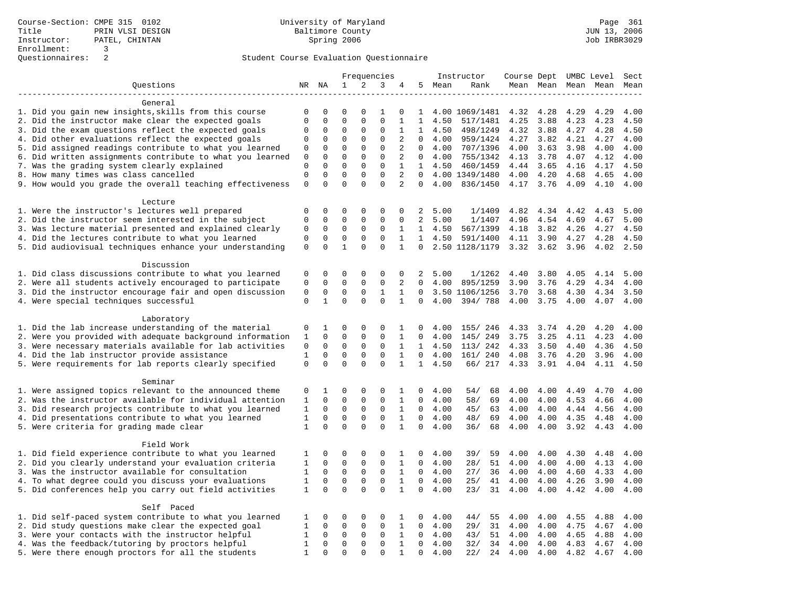|                                                           |              |              |              |             | Frequencies  |                |                |                | Instructor     | Course Dept UMBC Level |           |      |                     | Sect |
|-----------------------------------------------------------|--------------|--------------|--------------|-------------|--------------|----------------|----------------|----------------|----------------|------------------------|-----------|------|---------------------|------|
| Questions                                                 |              | NR NA        | 1            | 2           | 3            | 4              | 5              | Mean           | Rank           |                        |           |      | Mean Mean Mean Mean | Mean |
| -------------------                                       |              |              |              |             |              |                |                |                |                |                        |           |      |                     |      |
| General                                                   |              |              |              |             |              |                |                |                |                |                        |           |      |                     |      |
| 1. Did you gain new insights, skills from this course     | 0            | $\mathbf 0$  | $\mathbf 0$  | $\mathbf 0$ | 1            | 0              | 1              |                | 4.00 1069/1481 | 4.32                   | 4.28      | 4.29 | 4.29                | 4.00 |
| 2. Did the instructor make clear the expected goals       | $\mathbf 0$  | $\mathbf 0$  | $\mathbf 0$  | $\mathbf 0$ | $\mathbf{0}$ | 1              | 1              | 4.50           | 517/1481       | 4.25                   | 3.88      | 4.23 | 4.23                | 4.50 |
| 3. Did the exam questions reflect the expected goals      | 0            | 0            | 0            | 0           | 0            | 1              | $\mathbf{1}$   | 4.50           | 498/1249       | 4.32                   | 3.88      | 4.27 | 4.28                | 4.50 |
| 4. Did other evaluations reflect the expected goals       | 0            | $\mathbf 0$  | 0            | 0           | 0            | 2              | $\Omega$       | 4.00           | 959/1424       | 4.27                   | 3.82      | 4.21 | 4.27                | 4.00 |
| 5. Did assigned readings contribute to what you learned   | 0            | 0            | $\mathbf 0$  | $\mathbf 0$ | $\mathbf 0$  | 2              | 0              | 4.00           | 707/1396       | 4.00                   | 3.63      | 3.98 | 4.00                | 4.00 |
| 6. Did written assignments contribute to what you learned | 0            | $\mathbf 0$  | $\mathbf 0$  | 0           | $\mathbf{0}$ | 2              | 0              | 4.00           | 755/1342       | 4.13                   | 3.78      | 4.07 | 4.12                | 4.00 |
| 7. Was the grading system clearly explained               | $\mathbf 0$  | $\Omega$     | $\mathbf 0$  | $\mathbf 0$ | $\mathbf{0}$ | 1              |                | $1 \quad 4.50$ | 460/1459       | 4.44                   | 3.65      | 4.16 | 4.17                | 4.50 |
| 8. How many times was class cancelled                     | $\mathbf 0$  | $\Omega$     | $\Omega$     | $\Omega$    | $\Omega$     | $\overline{a}$ | $\Omega$       |                | 4.00 1349/1480 | 4.00                   | 4.20      | 4.68 | 4.65                | 4.00 |
| 9. How would you grade the overall teaching effectiveness | $\mathbf 0$  | $\mathbf 0$  | $\mathbf 0$  | $\mathbf 0$ | $\mathbf{0}$ | $\overline{a}$ | $\Omega$       | 4.00           | 836/1450       |                        | 4.17 3.76 | 4.09 | 4.10                | 4.00 |
|                                                           |              |              |              |             |              |                |                |                |                |                        |           |      |                     |      |
| Lecture                                                   | $\mathbf 0$  | $\mathbf 0$  | 0            | 0           | $\mathbf 0$  | $\Omega$       | 2              | 5.00           | 1/1409         | 4.82                   | 4.34      | 4.42 |                     | 5.00 |
| 1. Were the instructor's lectures well prepared           | $\mathbf 0$  | $\mathbf 0$  | $\mathbf 0$  | $\mathbf 0$ | $\mathbf{0}$ | $\mathbf 0$    | $\overline{2}$ | 5.00           |                | 4.96                   |           |      | 4.43<br>4.67        | 5.00 |
| 2. Did the instructor seem interested in the subject      |              | $\mathbf 0$  |              | $\mathbf 0$ | $\mathbf 0$  |                | $\mathbf{1}$   |                | 1/1407         | 4.18                   | 4.54      | 4.69 |                     |      |
| 3. Was lecture material presented and explained clearly   | 0            |              | $\mathsf 0$  |             |              | 1              | $\mathbf{1}$   | 4.50           | 567/1399       |                        | 3.82      | 4.26 | 4.27                | 4.50 |
| 4. Did the lectures contribute to what you learned        | $\mathbf 0$  | $\mathbf 0$  | $\mathsf 0$  | $\mathbf 0$ | $\mathbf{0}$ | $\mathbf{1}$   |                | 4.50           | 591/1400       | 4.11                   | 3.90      | 4.27 | 4.28                | 4.50 |
| 5. Did audiovisual techniques enhance your understanding  | $\mathbf 0$  | $\Omega$     | $\mathbf{1}$ | $\Omega$    | $\Omega$     | $\mathbf{1}$   | $\Omega$       |                | 2.50 1128/1179 | 3.32                   | 3.62      | 3.96 | 4.02                | 2.50 |
| Discussion                                                |              |              |              |             |              |                |                |                |                |                        |           |      |                     |      |
| 1. Did class discussions contribute to what you learned   | 0            | 0            | 0            | 0           | 0            | 0              | 2              | 5.00           | 1/1262         | 4.40                   | 3.80      | 4.05 | 4.14                | 5.00 |
| 2. Were all students actively encouraged to participate   | $\mathbf 0$  | $\mathbf 0$  | $\mathbf 0$  | $\mathbf 0$ | $\mathbf 0$  | 2              | $\Omega$       | 4.00           | 895/1259       | 3.90                   | 3.76      | 4.29 | 4.34                | 4.00 |
| 3. Did the instructor encourage fair and open discussion  | 0            | 0            | 0            | 0           | 1            | 1              | 0              |                | 3.50 1106/1256 | 3.70                   | 3.68      | 4.30 | 4.34                | 3.50 |
| 4. Were special techniques successful                     | $\mathbf 0$  | $\mathbf{1}$ | $\mathbf 0$  | 0           | $\mathbf{0}$ | 1              | $\Omega$       | 4.00           | 394/788        | 4.00                   | 3.75      | 4.00 | 4.07                | 4.00 |
|                                                           |              |              |              |             |              |                |                |                |                |                        |           |      |                     |      |
| Laboratory                                                |              |              |              |             |              |                |                |                |                |                        |           |      |                     |      |
| 1. Did the lab increase understanding of the material     | 0            | 1            | 0            | 0           | 0            | 1              | 0              | 4.00           | 155/ 246       | 4.33                   | 3.74      | 4.20 | 4.20                | 4.00 |
| 2. Were you provided with adequate background information | 1            | $\mathbf 0$  | $\mathbf 0$  | $\mathbf 0$ | $\mathbf{0}$ | 1              | 0              | 4.00           | 145/249        | 3.75                   | 3.25      | 4.11 | 4.23                | 4.00 |
| 3. Were necessary materials available for lab activities  | 0            | 0            | 0            | 0           | $\mathbf 0$  | 1              |                | $1 \quad 4.50$ | 113/ 242       | 4.33                   | 3.50      | 4.40 | 4.36                | 4.50 |
| 4. Did the lab instructor provide assistance              | 1            | $\Omega$     | $\mathbf 0$  | 0           | $\mathbf{0}$ | $\mathbf{1}$   | $\Omega$       | 4.00           | 161/ 240       | 4.08                   | 3.76      | 4.20 | 3.96                | 4.00 |
| 5. Were requirements for lab reports clearly specified    | $\mathbf{0}$ | $\mathbf 0$  | $\Omega$     | $\Omega$    | $\mathbf{0}$ | $\mathbf{1}$   | $\mathbf{1}$   | 4.50           | 66/ 217        | 4.33                   | 3.91      | 4.04 | 4.11                | 4.50 |
|                                                           |              |              |              |             |              |                |                |                |                |                        |           |      |                     |      |
| Seminar                                                   |              |              |              |             |              |                |                |                |                |                        |           |      |                     |      |
| 1. Were assigned topics relevant to the announced theme   | 0            | 1            | 0            | 0           | 0            | 1              | 0              | 4.00           | 54/<br>68      | 4.00                   | 4.00      | 4.49 | 4.70                | 4.00 |
| 2. Was the instructor available for individual attention  | 1            | 0            | 0            | 0           | $\mathbf 0$  | 1              | $\mathbf{0}$   | 4.00           | 58/<br>69      | 4.00                   | 4.00      | 4.53 | 4.66                | 4.00 |
| 3. Did research projects contribute to what you learned   | 1            | $\mathbf 0$  | $\mathbf 0$  | $\mathbf 0$ | $\mathbf 0$  | 1              | 0              | 4.00           | 45/<br>63      | 4.00                   | 4.00      | 4.44 | 4.56                | 4.00 |
| 4. Did presentations contribute to what you learned       | $\mathbf{1}$ | $\mathbf 0$  | $\mathbf 0$  | $\mathbf 0$ | $\mathbf{0}$ | $\mathbf{1}$   | $\Omega$       | 4.00           | 69<br>48/      | 4.00                   | 4.00      | 4.35 | 4.48                | 4.00 |
| 5. Were criteria for grading made clear                   | $\mathbf{1}$ | $\mathbf 0$  | $\mathbf 0$  | $\mathbf 0$ | $\mathbf{0}$ | $\mathbf{1}$   | $\mathbf 0$    | 4.00           | 36/<br>68      | 4.00                   | 4.00      | 3.92 | 4.43                | 4.00 |
|                                                           |              |              |              |             |              |                |                |                |                |                        |           |      |                     |      |
| Field Work                                                |              |              |              |             |              |                |                |                |                |                        |           |      |                     |      |
| 1. Did field experience contribute to what you learned    | 1            | 0            | 0            | 0           | 0            | 1              | 0              | 4.00           | 39/<br>59      | 4.00                   | 4.00      | 4.30 | 4.48                | 4.00 |
| 2. Did you clearly understand your evaluation criteria    | $\mathbf{1}$ | $\mathbf 0$  | $\mathbf 0$  | $\mathbf 0$ | $\mathbf{0}$ | 1              | $\Omega$       | 4.00           | 51<br>28/      | 4.00                   | 4.00      | 4.00 | 4.13                | 4.00 |
| 3. Was the instructor available for consultation          | $\mathbf{1}$ | $\mathbf 0$  | $\mathbf 0$  | $\mathbf 0$ | $\mathbf 0$  | $\mathbf{1}$   | $\mathbf 0$    | 4.00           | 27/<br>36      | 4.00                   | 4.00      | 4.60 | 4.33                | 4.00 |
| 4. To what degree could you discuss your evaluations      | $\mathbf{1}$ | $\mathbf 0$  | $\mathsf 0$  | $\mathbf 0$ | $\mathsf 0$  | $\mathbf{1}$   | $\mathbf 0$    | 4.00           | 25/<br>41      | 4.00                   | 4.00      | 4.26 | 3.90                | 4.00 |
| 5. Did conferences help you carry out field activities    | 1            | $\mathbf 0$  | $\mathbf 0$  | $\mathbf 0$ | $\mathbf{0}$ | 1              | 0              | 4.00           | 23/<br>31      | 4.00                   | 4.00      | 4.42 | 4.00                | 4.00 |
|                                                           |              |              |              |             |              |                |                |                |                |                        |           |      |                     |      |
| Self Paced                                                |              |              |              |             |              |                |                |                |                |                        |           |      |                     |      |
| 1. Did self-paced system contribute to what you learned   | 1            | 0            | 0            | 0           | $\mathbf 0$  | 1              | 0              | 4.00           | 44/<br>55      | 4.00                   | 4.00      | 4.55 | 4.88                | 4.00 |
| 2. Did study questions make clear the expected goal       | $\mathbf{1}$ | $\mathbf 0$  | $\mathbf 0$  | $\mathbf 0$ | $\mathbf 0$  | $\mathbf{1}$   | $\mathbf 0$    | 4.00           | 29/<br>31      | 4.00                   | 4.00      | 4.75 | 4.67                | 4.00 |
| 3. Were your contacts with the instructor helpful         | $\mathbf{1}$ | $\mathbf 0$  | $\mathbf 0$  | $\mathbf 0$ | $\mathbf 0$  | 1              | 0              | 4.00           | 51<br>43/      | 4.00                   | 4.00      | 4.65 | 4.88                | 4.00 |
| 4. Was the feedback/tutoring by proctors helpful          | $\mathbf{1}$ | $\mathbf 0$  | $\mathbf 0$  | 0           | $\mathbf 0$  | $\mathbf{1}$   | 0              | 4.00           | 32/<br>34      | 4.00                   | 4.00      | 4.83 | 4.67                | 4.00 |
| 5. Were there enough proctors for all the students        | $\mathbf{1}$ | $\mathbf 0$  | $\mathbf 0$  | 0           | $\mathbf{0}$ | $\mathbf{1}$   | 0              | 4.00           | 24<br>22/      | 4.00                   | 4.00      | 4.82 | 4.67                | 4.00 |
|                                                           |              |              |              |             |              |                |                |                |                |                        |           |      |                     |      |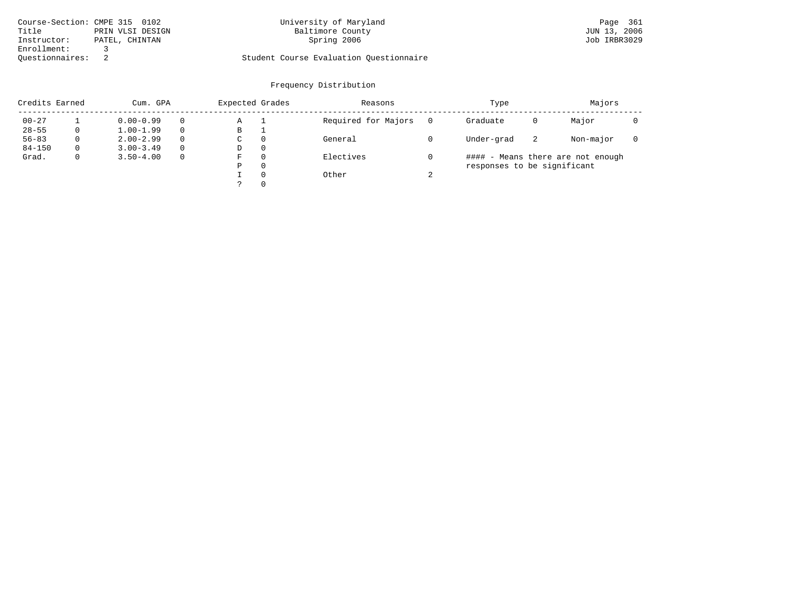| Course-Section: CMPE 315 0102 |                  | University of Maryland                  | Page 361     |
|-------------------------------|------------------|-----------------------------------------|--------------|
| Title                         | PRIN VLSI DESIGN | Baltimore County                        | JUN 13, 2006 |
| Instructor:                   | PATEL, CHINTAN   | Spring 2006                             | Job IRBR3029 |
| Enrollment:                   |                  |                                         |              |
| Ouestionnaires:               |                  | Student Course Evaluation Questionnaire |              |

# University of Maryland Baltimore County (Base 361 Days 2006) 2011 21 Days 2006

| Credits Earned |          | Cum. GPA      |          | Expected Grades |          | Reasons             |        | Type                        |    | Majors                            |  |
|----------------|----------|---------------|----------|-----------------|----------|---------------------|--------|-----------------------------|----|-----------------------------------|--|
| $00 - 27$      |          | $0.00 - 0.99$ |          | Α               |          | Required for Majors |        | Graduate                    | 0  | Major                             |  |
| $28 - 55$      | 0        | $1.00 - 1.99$ |          | В               |          |                     |        |                             |    |                                   |  |
| $56 - 83$      | $\Omega$ | $2.00 - 2.99$ | $\Omega$ | C               | $\Omega$ | General             |        | Under-grad                  | -2 | Non-major                         |  |
| $84 - 150$     | $\Omega$ | $3.00 - 3.49$ | $\Omega$ | D               | $\Omega$ |                     |        |                             |    |                                   |  |
| Grad.          | 0        | $3.50 - 4.00$ | $\Omega$ | F               | $\Omega$ | Electives           |        |                             |    | #### - Means there are not enough |  |
|                |          |               |          | Ρ               | $\Omega$ |                     |        | responses to be significant |    |                                   |  |
|                |          |               |          |                 | $\Omega$ | Other               | $\sim$ |                             |    |                                   |  |
|                |          |               |          |                 | $\Omega$ |                     |        |                             |    |                                   |  |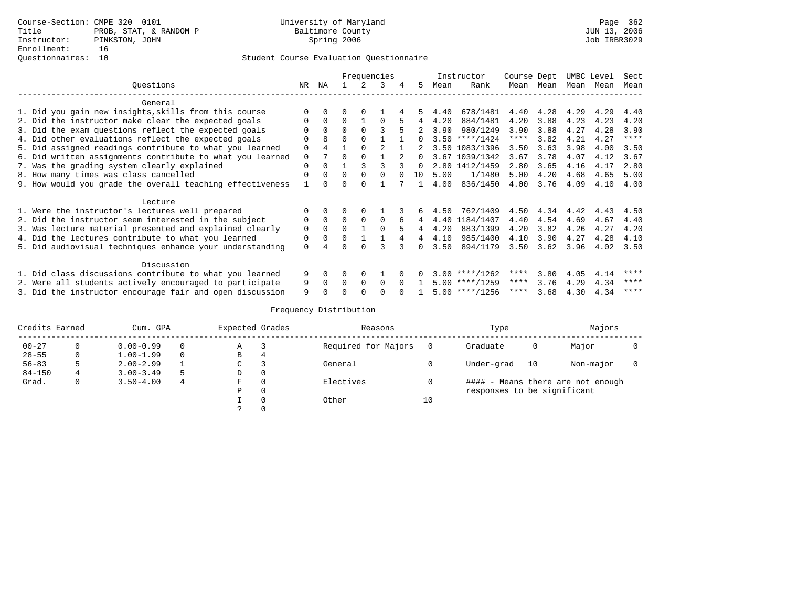|                                                           |             |              |              | Frequencies |          |               |                |      | Instructor       | Course Dept |           | UMBC Level |      | Sect        |
|-----------------------------------------------------------|-------------|--------------|--------------|-------------|----------|---------------|----------------|------|------------------|-------------|-----------|------------|------|-------------|
| Ouestions                                                 | NR.         | NA           |              |             | 3        |               | 5.             | Mean | Rank             |             | Mean Mean | Mean       | Mean | Mean        |
| General                                                   |             |              |              |             |          |               |                |      |                  |             |           |            |      |             |
| 1. Did you gain new insights, skills from this course     | $\Omega$    |              |              |             |          |               |                | 4.40 | 678/1481         | 4.40        | 4.28      | 4.29       | 4.29 | 4.40        |
| 2. Did the instructor make clear the expected goals       | $\Omega$    | $\Omega$     | $\Omega$     |             | $\Omega$ |               |                | 4.20 | 884/1481         | 4.20        | 3.88      | 4.23       | 4.23 | 4.20        |
| 3. Did the exam questions reflect the expected goals      |             | $\Omega$     | $\Omega$     |             |          |               | $\overline{2}$ | 3.90 | 980/1249         | 3.90        | 3.88      | 4.27       | 4.28 | 3.90        |
| 4. Did other evaluations reflect the expected goals       | $\Omega$    | 8            | $\Omega$     |             |          |               |                |      | $3.50$ ****/1424 | $***$ * * * | 3.82      | 4.21       | 4.27 | $***$ * * * |
| 5. Did assigned readings contribute to what you learned   | $\Omega$    |              |              |             |          |               | $2^{\circ}$    |      | 3.50 1083/1396   | 3.50        | 3.63      | 3.98       | 4.00 | 3.50        |
| 6. Did written assignments contribute to what you learned | $\Omega$    |              | $\Omega$     |             |          | $\mathcal{D}$ | $\cap$         |      | 3.67 1039/1342   | 3.67        | 3.78      | 4.07       | 4.12 | 3.67        |
| 7. Was the grading system clearly explained               | $\Omega$    | <sup>0</sup> |              |             |          |               | $\Omega$       |      | 2.80 1412/1459   | 2.80        | 3.65      | 4.16       | 4.17 | 2.80        |
| 8. How many times was class cancelled                     | $\Omega$    | <sup>0</sup> | $\Omega$     | $\Omega$    |          |               | 10             | 5.00 | 1/1480           | 5.00        | 4.20      | 4.68       | 4.65 | 5.00        |
| 9. How would you grade the overall teaching effectiveness |             |              | O            |             |          |               |                | 4.00 | 836/1450         | 4.00        | 3.76      | 4.09       | 4.10 | 4.00        |
| Lecture                                                   |             |              |              |             |          |               |                |      |                  |             |           |            |      |             |
| 1. Were the instructor's lectures well prepared           |             |              |              |             |          |               | 6              | 4.50 | 762/1409         | 4.50        | 4.34      | 4.42       | 4.43 | 4.50        |
| 2. Did the instructor seem interested in the subject      | $\Omega$    | $\Omega$     | $\Omega$     | $\Omega$    | $\Omega$ | 6             | 4              | 4.40 | 1184/1407        | 4.40        | 4.54      | 4.69       | 4.67 | 4.40        |
| 3. Was lecture material presented and explained clearly   | $\mathbf 0$ | $\Omega$     | $\Omega$     |             | $\cap$   |               |                | 4.20 | 883/1399         | 4.20        | 3.82      | 4.26       | 4.27 | 4.20        |
| 4. Did the lectures contribute to what you learned        | 0           | 0            | 0            |             |          |               | 4              | 4.10 | 985/1400         | 4.10        | 3.90      | 4.27       | 4.28 | 4.10        |
| 5. Did audiovisual techniques enhance your understanding  | $\Omega$    |              | U            |             |          |               | <sup>n</sup>   | 3.50 | 894/1179         | 3.50        | 3.62      | 3.96       | 4.02 | 3.50        |
| Discussion                                                |             |              |              |             |          |               |                |      |                  |             |           |            |      |             |
| 1. Did class discussions contribute to what you learned   | 9           | $\Omega$     | 0            | $\Omega$    |          |               |                |      | $3.00$ ****/1262 | ****        | 3.80      | 4.05       | 4.14 | ****        |
| 2. Were all students actively encouraged to participate   | 9           | <sup>0</sup> | <sup>0</sup> | $\Omega$    | $\Omega$ |               |                |      | $5.00$ ****/1259 | ****        | 3.76      | 4.29       | 4.34 | ****        |
| 3. Did the instructor encourage fair and open discussion  | 9           |              |              |             |          |               |                |      | $5.00$ ****/1256 | ****        | 3.68      | 4.30       | 4.34 | ****        |

| Credits Earned |   | Cum. GPA      |   | Expected Grades | Reasons             |    | Type                        |    | Majors                            |  |
|----------------|---|---------------|---|-----------------|---------------------|----|-----------------------------|----|-----------------------------------|--|
| $00 - 27$      |   | $0.00 - 0.99$ | 0 | Α               | Required for Majors |    | Graduate                    | 0  | Major                             |  |
| $28 - 55$      | 0 | $1.00 - 1.99$ | 0 | B               |                     |    |                             |    |                                   |  |
| $56 - 83$      |   | $2.00 - 2.99$ |   | C               | General             |    | Under-grad                  | 10 | Non-major                         |  |
| $84 - 150$     |   | $3.00 - 3.49$ |   | D               |                     |    |                             |    |                                   |  |
| Grad.          |   | $3.50 - 4.00$ | 4 | F               | Electives           |    |                             |    | #### - Means there are not enough |  |
|                |   |               |   | D               |                     |    | responses to be significant |    |                                   |  |
|                |   |               |   |                 | Other               | 10 |                             |    |                                   |  |
|                |   |               |   |                 |                     |    |                             |    |                                   |  |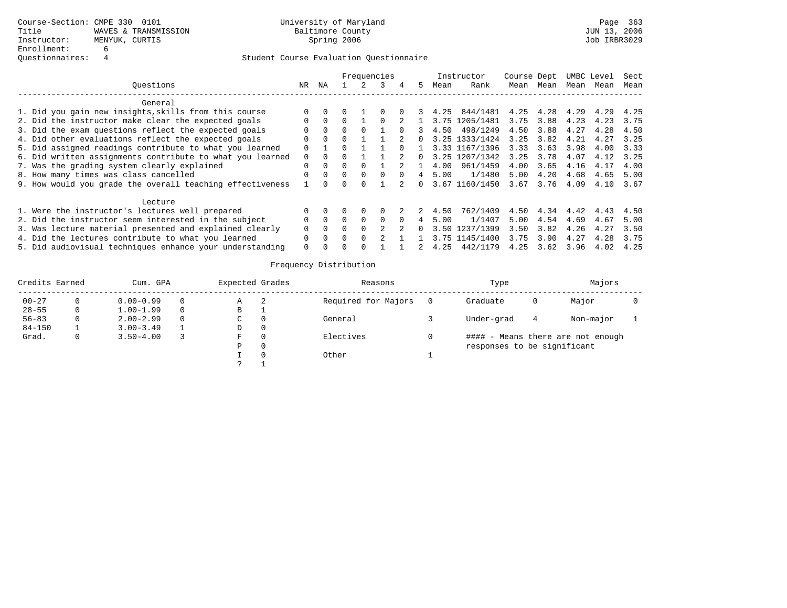|                                                           |              |          |        |          | Frequencies |   |    |      | Instructor     | Course Dept |      |      | UMBC Level | Sect |
|-----------------------------------------------------------|--------------|----------|--------|----------|-------------|---|----|------|----------------|-------------|------|------|------------|------|
| Ouestions                                                 | NR.          | ΝA       |        |          |             | 4 | 5. | Mean | Rank           | Mean        | Mean | Mean | Mean       | Mean |
| General                                                   |              |          |        |          |             |   |    |      |                |             |      |      |            |      |
| 1. Did you gain new insights, skills from this course     | $\Omega$     |          |        |          |             |   |    | 4.25 | 844/1481       | 4.25        | 4.28 | 4.29 | 4.29       | 4.25 |
| 2. Did the instructor make clear the expected goals       | <sup>n</sup> |          |        |          |             |   |    | 3.75 | 1205/1481      | 3.75        | 3.88 | 4.23 | 4.23       | 3.75 |
| 3. Did the exam questions reflect the expected goals      |              |          | 0      |          |             |   |    | 4.50 | 498/1249       | 4.50        | 3.88 | 4.27 | 4.28       | 4.50 |
| 4. Did other evaluations reflect the expected goals       | $\Omega$     | $\Omega$ | $\cap$ |          |             |   |    |      | 3.25 1333/1424 | 3.25        | 3.82 | 4.21 | 4.27       | 3.25 |
| 5. Did assigned readings contribute to what you learned   | $\Omega$     |          |        |          |             |   |    |      | 3.33 1167/1396 | 3.33        | 3.63 | 3.98 | 4.00       | 3.33 |
| 6. Did written assignments contribute to what you learned |              |          |        |          |             |   |    |      | 3.25 1207/1342 | 3.25        | 3.78 | 4.07 | 4.12       | 3.25 |
| 7. Was the grading system clearly explained               | $\Omega$     |          |        |          |             |   |    | 4.00 | 961/1459       | 4.00        | 3.65 | 4.16 | 4.17       | 4.00 |
| 8. How many times was class cancelled                     | $\cap$       | $\cap$   | $\cap$ | $\Omega$ |             |   |    | 5.00 | 1/1480         | 5.00        | 4.20 | 4.68 | 4.65       | 5.00 |
| 9. How would you grade the overall teaching effectiveness |              |          |        |          |             |   | 0  |      | 3.67 1160/1450 | 3.67        | 3.76 | 4.09 | 4.10       | 3.67 |
| Lecture                                                   |              |          |        |          |             |   |    |      |                |             |      |      |            |      |
| 1. Were the instructor's lectures well prepared           | <sup>n</sup> |          |        |          |             |   | 2. | 4.50 | 762/1409       | 4.50        | 4.34 | 4.42 | 4.43       | 4.50 |
| 2. Did the instructor seem interested in the subject      | $\Omega$     | $\cap$   | $\cap$ | $\Omega$ | 0           |   |    | 5.00 | 1/1407         | 5.00        | 4.54 | 4.69 | 4.67       | 5.00 |
| 3. Was lecture material presented and explained clearly   |              |          |        |          |             |   | 0  |      | 3.50 1237/1399 | 3.50        | 3.82 | 4.26 | 4.27       | 3.50 |
| 4. Did the lectures contribute to what you learned        |              |          | $\cap$ |          |             |   |    |      | 3.75 1145/1400 | 3.75        | 3.90 | 4.27 | 4.28       | 3.75 |
| 5. Did audiovisual techniques enhance your understanding  | 0            |          |        |          |             |   |    | 4.25 | 442/1179       | 4.25        | 3.62 | 3.96 | 4.02       | 4.25 |

| Credits Earned | Cum. GPA      |          | Expected Grades |   | Reasons             | Type                        |   | Majors                            |  |
|----------------|---------------|----------|-----------------|---|---------------------|-----------------------------|---|-----------------------------------|--|
| $00 - 27$      | $0.00 - 0.99$ | $\Omega$ | Α               | 2 | Required for Majors | Graduate                    | 0 | Major                             |  |
| $28 - 55$      | $1.00 - 1.99$ | $\Omega$ | В               |   |                     |                             |   |                                   |  |
| $56 - 83$      | $2.00 - 2.99$ | $\Omega$ | C               |   | General             | Under-grad                  | 4 | Non-major                         |  |
| $84 - 150$     | $3.00 - 3.49$ |          | D               |   |                     |                             |   |                                   |  |
| Grad.          | $3.50 - 4.00$ |          | F.              |   | Electives           |                             |   | #### - Means there are not enough |  |
|                |               |          | P               |   |                     | responses to be significant |   |                                   |  |
|                |               |          |                 |   | Other               |                             |   |                                   |  |
|                |               |          |                 |   |                     |                             |   |                                   |  |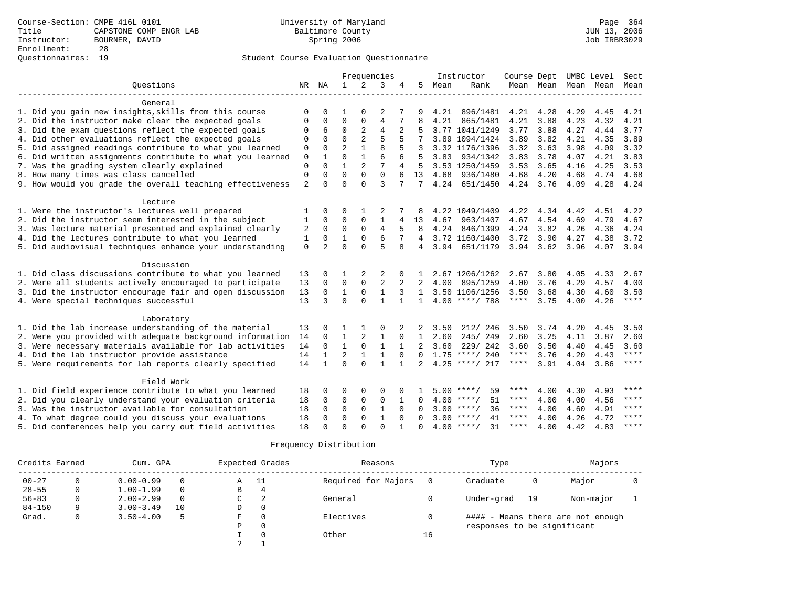|                                                           |              |                |                | Frequencies    |                |              |                |      | Instructor         |             |                |      | Course Dept UMBC Level   | Sect        |
|-----------------------------------------------------------|--------------|----------------|----------------|----------------|----------------|--------------|----------------|------|--------------------|-------------|----------------|------|--------------------------|-------------|
| Ouestions                                                 |              | NR NA          | $\mathbf{1}$   | 2              | 3              | 4            | 5              | Mean | Rank               |             |                |      | Mean Mean Mean Mean Mean |             |
|                                                           |              |                |                |                |                |              |                |      |                    |             |                |      |                          |             |
| General                                                   |              |                |                |                |                |              |                |      |                    |             |                |      |                          |             |
| 1. Did you gain new insights, skills from this course     | $\Omega$     |                | 1              | $\cap$         | 2              |              |                | 4.21 | 896/1481           | 4.21        | 4.28           | 4.29 | 4.45                     | 4.21        |
| 2. Did the instructor make clear the expected goals       | 0            | 0              | $\mathbf 0$    | $\mathbf{0}$   | $\overline{4}$ | 7            | 8              | 4.21 | 865/1481           | 4.21        | 3.88           | 4.23 | 4.32                     | 4.21        |
| 3. Did the exam questions reflect the expected goals      | 0            | 6              | $\mathbf 0$    | 2              | $\overline{4}$ | 2            |                |      | 3.77 1041/1249     | 3.77        | 3.88           | 4.27 | 4.44                     | 3.77        |
| 4. Did other evaluations reflect the expected goals       | $\Omega$     | $\Omega$       | $\Omega$       | $\overline{2}$ | 5              |              |                |      | 3.89 1094/1424     | 3.89        | 3.82           | 4.21 | 4.35                     | 3.89        |
| 5. Did assigned readings contribute to what you learned   | 0            | $\Omega$       | $\overline{2}$ | $\mathbf{1}$   | $\mathsf{R}$   |              | 3              |      | 3.32 1176/1396     | 3.32        | 3.63           | 3.98 | 4.09                     | 3.32        |
| 6. Did written assignments contribute to what you learned | $\mathbf 0$  |                | $\Omega$       | $\mathbf{1}$   | 6              | 6            | 5              | 3.83 | 934/1342           | 3.83        | 3.78           | 4.07 | 4.21                     | 3.83        |
| 7. Was the grading system clearly explained               | 0            | $\Omega$       |                | 2              |                |              | 5              |      | 3.53 1250/1459     | 3.53        | 3.65           | 4.16 | 4.25                     | 3.53        |
| 8. How many times was class cancelled                     | $\Omega$     | $\Omega$       | $\Omega$       | $\Omega$       | $\Omega$       |              | 13             | 4.68 | 936/1480           | 4.68        | 4.20           | 4.68 | 4.74                     | 4.68        |
| 9. How would you grade the overall teaching effectiveness | 2            | $\cap$         | $\cap$         | $\cap$         | 3              | 7            | 7              |      | 4.24 651/1450      |             | 4.24 3.76      | 4.09 | 4.28 4.24                |             |
| Lecture                                                   |              |                |                |                |                |              |                |      |                    |             |                |      |                          |             |
| 1. Were the instructor's lectures well prepared           |              | 0              | 0              |                | 2              |              |                |      | 4.22 1049/1409     | 4.22        | 4.34           | 4.42 | 4.51                     | 4.22        |
| 2. Did the instructor seem interested in the subject      | 1            | $\mathbf 0$    | $\Omega$       | 0              | $\mathbf{1}$   | 4            | 13             | 4.67 | 963/1407           | 4.67        | 4.54           | 4.69 | 4.79                     | 4.67        |
| 3. Was lecture material presented and explained clearly   | 2            | $\Omega$       | $\Omega$       | $\Omega$       | $\overline{4}$ | 5            | 8              | 4.24 | 846/1399           | 4.24        | 3.82           | 4.26 | 4.36                     | 4.24        |
| 4. Did the lectures contribute to what you learned        | $\mathbf{1}$ | $\Omega$       | $\mathbf{1}$   | $\Omega$       | 6              |              |                |      | 4 3.72 1160/1400   | 3.72        | 3.90           | 4.27 | 4.38                     | 3.72        |
| 5. Did audiovisual techniques enhance your understanding  | $\Omega$     | $\overline{a}$ | $\Omega$       | $\Omega$       | 5              |              | $\overline{4}$ |      | 3.94 651/1179      |             | 3.94 3.62 3.96 |      | 4.07                     | 3.94        |
|                                                           |              |                |                |                |                |              |                |      |                    |             |                |      |                          |             |
| Discussion                                                |              |                |                |                |                |              |                |      |                    |             |                |      |                          |             |
| 1. Did class discussions contribute to what you learned   | 13           | $\Omega$       |                | 2              | 2              |              |                |      | 2.67 1206/1262     | 2.67        | 3.80           | 4.05 | 4.33                     | 2.67        |
| 2. Were all students actively encouraged to participate   | 13           | $\Omega$       | $\mathbf 0$    | $\mathbf 0$    | $\overline{2}$ |              |                | 4.00 | 895/1259           | 4.00        | 3.76           | 4.29 | 4.57                     | 4.00        |
| 3. Did the instructor encourage fair and open discussion  | 13           | $\Omega$       | $\mathbf{1}$   | $\mathbf{0}$   | $\mathbf{1}$   | 3            | 1              |      | 3.50 1106/1256     | 3.50        | 3.68           | 4.30 | 4.60                     | 3.50        |
| 4. Were special techniques successful                     | 13           | 3              | $\Omega$       | $\cap$         | $\mathbf{1}$   | $\mathbf{1}$ | $\mathbf{1}$   |      | $4.00$ ****/ 788   | $***$ * * * | 3.75           | 4.00 | 4.26                     | $***$       |
| Laboratory                                                |              |                |                |                |                |              |                |      |                    |             |                |      |                          |             |
| 1. Did the lab increase understanding of the material     | 13           |                |                |                | $\Omega$       |              |                | 3.50 | 212/ 246           | 3.50        | $3.74$ 4.20    |      | 4.45                     | 3.50        |
| 2. Were you provided with adequate background information | 14           | $\Omega$       | 1              | 2              | 1              | $\Omega$     | $\mathbf{1}$   | 2.60 | 245/249            | 2.60        | 3.25           | 4.11 | 3.87                     | 2.60        |
| 3. Were necessary materials available for lab activities  | 14           | $\Omega$       | $\mathbf{1}$   | $\mathbf{0}$   | $\mathbf{1}$   |              | 2              | 3.60 | 229/242            | 3.60        | 3.50           | 4.40 | 4.45                     | 3.60        |
| 4. Did the lab instructor provide assistance              | 14           | $\mathbf{1}$   | 2              | 1              | $\mathbf{1}$   | $\Omega$     | $\Omega$       |      | $1.75$ ****/ 240   | $***$ * * * | 3.76           | 4.20 | 4.43                     | $***$       |
| 5. Were requirements for lab reports clearly specified    | 14           | $\mathbf{1}$   | $\Omega$       | $\Omega$       | $\mathbf{1}$   |              | $2^{\circ}$    |      | $4.25$ ****/ 217   | ****        | 3.91           | 4.04 | 3.86                     | $***$ * * * |
|                                                           |              |                |                |                |                |              |                |      |                    |             |                |      |                          |             |
| Field Work                                                |              |                |                |                |                |              |                |      |                    |             |                |      |                          |             |
| 1. Did field experience contribute to what you learned    | 18           | $\Omega$       | 0              | 0              | 0              |              |                |      | $5.00$ ****/<br>59 | ****        | 4.00           | 4.30 | 4.93                     | ****        |
| 2. Did you clearly understand your evaluation criteria    | 18           | 0              | $\mathbf 0$    | 0              | $\mathbf 0$    |              | $\Omega$       |      | $4.00$ ****/<br>51 | ****        | 4.00           | 4.00 | 4.56                     | $***$       |
| 3. Was the instructor available for consultation          | 18           | $\Omega$       | $\Omega$       | $\Omega$       | $\mathbf{1}$   | $\Omega$     | $\Omega$       |      | $3.00$ ****/<br>36 | $***$ * * * | 4.00           | 4.60 | 4.91                     | $***$ *     |
| 4. To what degree could you discuss your evaluations      | 18           | $\Omega$       | $\Omega$       | $\Omega$       | $\mathbf{1}$   | $\Omega$     | $\Omega$       |      | $3.00$ ****/<br>41 | ****        | 4.00           | 4.26 | 4.72                     | $* * * *$   |
| 5. Did conferences help you carry out field activities    | 18           | $\cap$         | $\Omega$       | $\Omega$       | $\Omega$       |              | $\Omega$       |      | $4.00$ ****/<br>31 | $***$ *     | 4.00           | 4.42 | 4.83                     | $* * * *$   |

| Credits Earned |   | Cum. GPA      |          |   | Expected Grades | Reasons             |    | Type                        |    | Majors                            |  |
|----------------|---|---------------|----------|---|-----------------|---------------------|----|-----------------------------|----|-----------------------------------|--|
| $00 - 27$      |   | $0.00 - 0.99$ | $\Omega$ | Α | -11             | Required for Majors |    | Graduate                    | 0  | Major                             |  |
| $28 - 55$      |   | $1.00 - 1.99$ | $\Omega$ | В | 4               |                     |    |                             |    |                                   |  |
| $56 - 83$      |   | $2.00 - 2.99$ | $\Omega$ | C | 2               | General             |    | Under-grad                  | 19 | Non-major                         |  |
| $84 - 150$     | q | $3.00 - 3.49$ | 10       | D | 0               |                     |    |                             |    |                                   |  |
| Grad.          |   | $3.50 - 4.00$ | 5        | F | 0               | Electives           |    |                             |    | #### - Means there are not enough |  |
|                |   |               |          | P | 0               |                     |    | responses to be significant |    |                                   |  |
|                |   |               |          |   | $\Omega$        | Other               | 16 |                             |    |                                   |  |
|                |   |               |          |   |                 |                     |    |                             |    |                                   |  |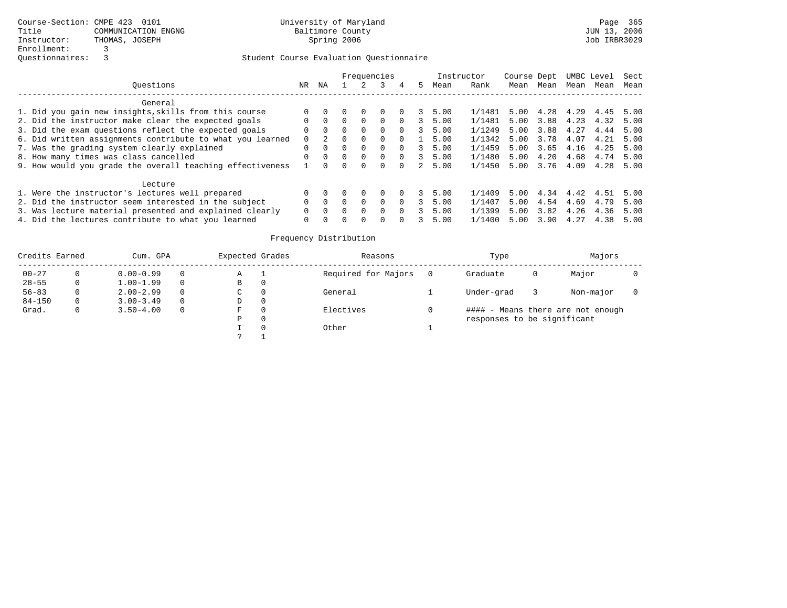|                                                           |          |          |          |          | Frequencies  |          |    | Instructor |        | Course Dept |      |      | UMBC Level | Sect |
|-----------------------------------------------------------|----------|----------|----------|----------|--------------|----------|----|------------|--------|-------------|------|------|------------|------|
| Ouestions                                                 | NR.      | ΝA       |          |          |              | 4        | 5. | Mean       | Rank   | Mean        | Mean | Mean | Mean       | Mean |
| General                                                   |          |          |          |          |              |          |    |            |        |             |      |      |            |      |
| 1. Did you gain new insights, skills from this course     |          |          |          |          |              |          |    | 5.00       | 1/1481 | 5.00        | 4.28 | 4.29 | 4.45       | 5.00 |
| 2. Did the instructor make clear the expected goals       |          |          |          | $\Omega$ | <sup>0</sup> | $\Omega$ |    | 5.00       | 1/1481 | 5.00        | 3.88 | 4.23 | 4.32       | 5.00 |
| 3. Did the exam questions reflect the expected goals      | $\Omega$ | $\Omega$ |          | $\Omega$ | $\Omega$     | $\Omega$ | 3  | 5.00       | 1/1249 | 5.00        | 3.88 | 4.27 | 4.44       | 5.00 |
| 6. Did written assignments contribute to what you learned |          |          |          | $\Omega$ | <sup>0</sup> |          |    | 5.00       | 1/1342 | 5.00        | 3.78 | 4.07 | 4.21       | 5.00 |
| 7. Was the grading system clearly explained               |          | $\Omega$ | $\cap$   | $\Omega$ | 0            | $\Omega$ |    | 5.00       | 1/1459 | 5.00        | 3.65 | 4.16 | 4.25       | 5.00 |
| 8. How many times was class cancelled                     |          | $\Omega$ | $\Omega$ | $\Omega$ | $\Omega$     | $\Omega$ |    | 5.00       | 1/1480 | 5.00        | 4.20 | 4.68 | 4.74       | 5.00 |
| 9. How would you grade the overall teaching effectiveness |          | $\cap$   |          | $\Omega$ | 0            |          | 2  | 5.00       | 1/1450 | 5.00        | 3.76 | 4.09 | 4.28       | 5.00 |
| Lecture                                                   |          |          |          |          |              |          |    |            |        |             |      |      |            |      |
| 1. Were the instructor's lectures well prepared           |          |          |          |          |              |          |    | 5.00       | 1/1409 | 5.00        | 4.34 | 4.42 | 4.51       | 5.00 |
| 2. Did the instructor seem interested in the subject      |          | $\Omega$ |          | $\Omega$ | 0            | $\Omega$ |    | 5.00       | 1/1407 | 5.00        | 4.54 | 4.69 | 4.79       | 5.00 |
| 3. Was lecture material presented and explained clearly   |          | 0        |          | $\Omega$ | 0            |          |    | 5.00       | 1/1399 | 5.00        | 3.82 | 4.26 | 4.36       | 5.00 |
| 4. Did the lectures contribute to what you learned        | 0        |          |          | $\Omega$ | U            |          |    | 5.00       | 1/1400 | 5.00        | 3.90 | 4.27 | 4.38       | 5.00 |

| Credits Earned |    | Cum. GPA      |          | Expected Grades | Reasons             | Type                        |   | Majors                            |  |
|----------------|----|---------------|----------|-----------------|---------------------|-----------------------------|---|-----------------------------------|--|
| $00 - 27$      |    | $0.00 - 0.99$ | $\Omega$ | Α               | Required for Majors | Graduate                    | 0 | Major                             |  |
| $28 - 55$      | 0  | $1.00 - 1.99$ | $\Omega$ | В               |                     |                             |   |                                   |  |
| $56 - 83$      |    | $2.00 - 2.99$ | $\Omega$ | C               | General             | Under-grad                  |   | Non-major                         |  |
| $84 - 150$     | 0. | $3.00 - 3.49$ | $\Omega$ | D               |                     |                             |   |                                   |  |
| Grad.          | 0  | $3.50 - 4.00$ | $\Omega$ | F               | Electives           |                             |   | #### - Means there are not enough |  |
|                |    |               |          | Ρ               |                     | responses to be significant |   |                                   |  |
|                |    |               |          |                 | Other               |                             |   |                                   |  |
|                |    |               |          | $\mathcal{P}$   |                     |                             |   |                                   |  |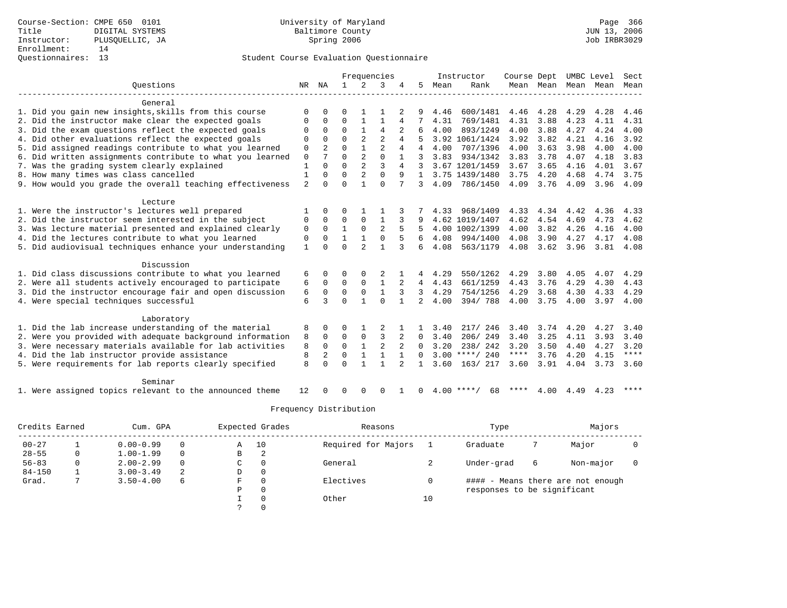### Questionnaires: 13 Student Course Evaluation Questionnaire

|                                                           |                |                |               |                              | Frequencies    |                |                |              | Instructor       | Course Dept         |           |                          | UMBC Level | Sect                |
|-----------------------------------------------------------|----------------|----------------|---------------|------------------------------|----------------|----------------|----------------|--------------|------------------|---------------------|-----------|--------------------------|------------|---------------------|
| Ouestions                                                 | NR             | ΝA             | $\mathbf{1}$  | 2                            | 3              |                | 5              | Mean         | Rank             |                     |           | Mean Mean Mean Mean Mean |            |                     |
| General                                                   |                |                |               |                              |                |                |                |              |                  |                     |           |                          |            |                     |
| 1. Did you gain new insights, skills from this course     | $\Omega$       |                | U             |                              |                |                |                | 4.46         | 600/1481         | 4.46                | 4.28      | 4.29                     | 4.28       | 4.46                |
| 2. Did the instructor make clear the expected goals       |                | 0              | $\Omega$      | $\mathbf{1}$                 | $\mathbf{1}$   | 4              |                | 4.31         | 769/1481         | 4.31                | 3.88      | 4.23                     | 4.11       | 4.31                |
| 3. Did the exam questions reflect the expected goals      | $\Omega$       | $\Omega$       | $\Omega$      | $\mathbf{1}$                 | 4              |                | 6              | 4.00         | 893/1249         | 4.00                | 3.88      | 4.27                     | 4.24       | 4.00                |
| 4. Did other evaluations reflect the expected goals       | $\Omega$       | $\Omega$       | $\Omega$      | $\mathfrak{D}$               | $\mathfrak{D}$ | 4              |                |              | 3.92 1061/1424   | 3.92                | 3.82      | 4.21                     | 4.16       | 3.92                |
| 5. Did assigned readings contribute to what you learned   | $\mathsf 0$    | $\overline{a}$ | $\Omega$      | $\mathbf{1}$                 | $\overline{c}$ | 4              | 4              | 4.00         | 707/1396         | 4.00                | 3.63      | 3.98                     | 4.00       | 4.00                |
| 6. Did written assignments contribute to what you learned | $\mathbf 0$    |                | $\Omega$      | $\overline{2}$               | $\Omega$       |                | 3              | 3.83         | 934/1342         | 3.83                | 3.78      | 4.07                     | 4.18       | 3.83                |
| 7. Was the grading system clearly explained               | 1              | $\Omega$       | $\Omega$      | $\overline{a}$               | $\overline{3}$ | 4              | 3              |              | 3.67 1201/1459   | 3.67                | 3.65      | 4.16                     | 4.01       | 3.67                |
| 8. How many times was class cancelled                     | 1              | $\cap$         | $\Omega$      | $\overline{a}$               | $\Omega$       | 9              | $\mathbf{1}$   |              | 3.75 1439/1480   | 3.75                | 4.20      | 4.68                     | 4.74       | 3.75                |
| 9. How would you grade the overall teaching effectiveness | $\overline{2}$ | $\cap$         | $\Omega$      | $\mathbf{1}$                 | $\Omega$       | 7              | $\mathcal{L}$  | 4.09         | 786/1450         | 4.09                | 3.76      | 4.09                     | 3.96       | 4.09                |
| Lecture                                                   |                |                |               |                              |                |                |                |              |                  |                     |           |                          |            |                     |
| 1. Were the instructor's lectures well prepared           |                |                |               |                              |                |                |                | 4.33         | 968/1409         | 4.33                | 4.34      | 4.42                     | 4.36       | 4.33                |
| 2. Did the instructor seem interested in the subject      | 0              | $\Omega$       | $\Omega$      | $\Omega$                     | $\mathbf{1}$   |                | 9              |              | 4.62 1019/1407   | 4.62                | 4.54      | 4.69                     | 4.73       | 4.62                |
| 3. Was lecture material presented and explained clearly   | 0              | $\Omega$       | $\mathbf{1}$  | $\mathbf 0$                  | $\overline{a}$ | 5              | 5              |              | 4.00 1002/1399   | 4.00                | 3.82      | 4.26                     | 4.16       | 4.00                |
| 4. Did the lectures contribute to what you learned        | $\mathbf 0$    | $\Omega$       | $\mathbf{1}$  | $\mathbf{1}$                 | $\Omega$       |                | 6              | 4.08         | 994/1400         | 4.08                | 3.90      | 4.27                     | 4.17       | 4.08                |
| 5. Did audiovisual techniques enhance your understanding  | $\mathbf{1}$   | $\cap$         | $\cap$        | $\mathfrak{D}$               | $\mathbf{1}$   | 3              | 6              | 4.08         | 563/1179         | 4.08                | 3.62 3.96 |                          | 3.81       | 4.08                |
| Discussion                                                |                |                |               |                              |                |                |                |              |                  |                     |           |                          |            |                     |
| 1. Did class discussions contribute to what you learned   | 6              | 0              | 0             |                              |                |                | 4              | 4.29         | 550/1262         | 4.29                | 3.80      | 4.05                     | 4.07       | 4.29                |
| 2. Were all students actively encouraged to participate   | 6              | $\Omega$       | $\Omega$      | $\Omega$                     | $\mathbf{1}$   | 2              | $\overline{4}$ | 4.43         | 661/1259         | 4.43                | 3.76      | 4.29                     | 4.30       | 4.43                |
| 3. Did the instructor encourage fair and open discussion  | 6              | $\mathbf 0$    | $\mathbf 0$   | $\mathbf 0$                  | $\mathbf{1}$   | 3              | $\mathbf{3}$   | 4.29         | 754/1256         | 4.29                | 3.68      | 4.30                     | 4.33       | 4.29                |
| 4. Were special techniques successful                     | 6              | ς              | $\Omega$      | $\mathbf{1}$                 | $\Omega$       | $\mathbf{1}$   | $\mathcal{L}$  | 4.00         | 394/788          | 4.00                | 3.75      | 4.00                     | 3.97       | 4.00                |
|                                                           |                |                |               |                              |                |                |                |              |                  |                     |           |                          |            |                     |
| Laboratory                                                |                |                |               |                              |                |                |                |              |                  |                     |           |                          |            |                     |
| 1. Did the lab increase understanding of the material     | 8              | O<br>$\Omega$  | O<br>$\Omega$ |                              | 3              |                |                | 3.40<br>3.40 | 217/ 246         | 3.40                | 3.74      | 4.20                     | 4.27       | 3.40                |
| 2. Were you provided with adequate background information | 8              | $\Omega$       | $\Omega$      | $\mathbf 0$<br>$\mathbf{1}$  | $\overline{2}$ |                | $\Omega$       |              | 206/249          | 3.40                | 3.25      | 4.11                     | 3.93       | 3.40                |
| 3. Were necessary materials available for lab activities  | 8              |                |               |                              |                | $\mathbf{1}$   | $\Omega$       | 3.20         | 238/242          | 3.20<br>$***$ * * * | 3.50      | 4.40                     | 4.27       | 3.20<br>$***$ * * * |
| 4. Did the lab instructor provide assistance              | 8              | 2              | $\Omega$      | $\mathbf{1}$<br>$\mathbf{1}$ | $\mathbf{1}$   |                | $\Omega$       |              | $3.00$ ****/ 240 |                     | 3.76      | 4.20                     | 4.15       |                     |
| 5. Were requirements for lab reports clearly specified    | 8              | $\Omega$       | $\Omega$      |                              | $\mathbf{1}$   | $\mathfrak{D}$ | $\mathbf{1}$   | 3.60         | 163/ 217         | 3.60                | 3.91      | 4.04                     | 3.73       | 3.60                |
| Seminar                                                   |                |                |               |                              |                |                |                |              |                  |                     |           |                          |            |                     |
|                                                           |                |                |               |                              |                |                |                |              |                  |                     |           |                          |            |                     |

1. Were assigned topics relevant to the announced theme 12 0 0 0 0 1 0 4.00 \*\*\*\*/ 68 \*\*\*\* 4.00 4.49 4.23 \*\*\*\*

| Credits Earned |  | Cum. GPA      | Expected Grades |    | Reasons  |                     | Type | Majors                      |   |                                   |  |
|----------------|--|---------------|-----------------|----|----------|---------------------|------|-----------------------------|---|-----------------------------------|--|
| $00 - 27$      |  | $0.00 - 0.99$ |                 | Α  | 10       | Required for Majors |      | Graduate                    |   | Major                             |  |
| $28 - 55$      |  | $1.00 - 1.99$ |                 | B  | 2        |                     |      |                             |   |                                   |  |
| $56 - 83$      |  | $2.00 - 2.99$ |                 | C. | $\Omega$ | General             |      | Under-grad                  | 6 | Non-major                         |  |
| $84 - 150$     |  | $3.00 - 3.49$ | 2               | D  | 0        |                     |      |                             |   |                                   |  |
| Grad.          |  | $3.50 - 4.00$ | 6               | F  | $\Omega$ | Electives           |      |                             |   | #### - Means there are not enough |  |
|                |  |               |                 | P  | 0        |                     |      | responses to be significant |   |                                   |  |
|                |  |               |                 |    |          | Other               | 10   |                             |   |                                   |  |
|                |  |               |                 |    |          |                     |      |                             |   |                                   |  |